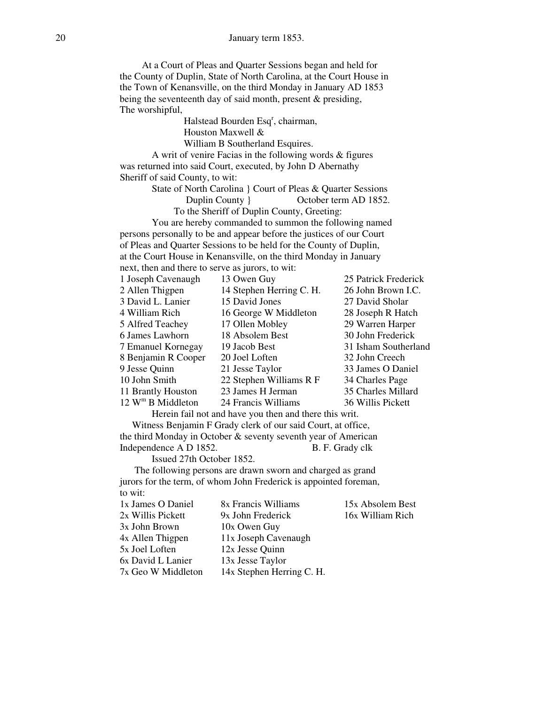At a Court of Pleas and Quarter Sessions began and held for the County of Duplin, State of North Carolina, at the Court House in the Town of Kenansville, on the third Monday in January AD 1853 being the seventeenth day of said month, present & presiding, The worshipful,

Halstead Bourden Esq<sup>r</sup>, chairman,

Houston Maxwell &

William B Southerland Esquires.

A writ of venire Facias in the following words & figures was returned into said Court, executed, by John D Abernathy Sheriff of said County, to wit:

State of North Carolina } Court of Pleas & Quarter Sessions Duplin County } October term AD 1852.

To the Sheriff of Duplin County, Greeting:

 You are hereby commanded to summon the following named persons personally to be and appear before the justices of our Court of Pleas and Quarter Sessions to be held for the County of Duplin, at the Court House in Kenansville, on the third Monday in January next, then and there to serve as jurors, to wit:

| 1 Joseph Cavenaugh              | 13 Owen Guy              | 25 Patrick Frederick |
|---------------------------------|--------------------------|----------------------|
| 2 Allen Thigpen                 | 14 Stephen Herring C. H. | 26 John Brown I.C.   |
| 3 David L. Lanier               | 15 David Jones           | 27 David Sholar      |
| 4 William Rich                  | 16 George W Middleton    | 28 Joseph R Hatch    |
| 5 Alfred Teachey                | 17 Ollen Mobley          | 29 Warren Harper     |
| 6 James Lawhorn                 | 18 Absolem Best          | 30 John Frederick    |
| 7 Emanuel Kornegay              | 19 Jacob Best            | 31 Isham Southerland |
| 8 Benjamin R Cooper             | 20 Joel Loften           | 32 John Creech       |
| 9 Jesse Quinn                   | 21 Jesse Taylor          | 33 James O Daniel    |
| 10 John Smith                   | 22 Stephen Williams R F  | 34 Charles Page      |
| 11 Brantly Houston              | 23 James H Jerman        | 35 Charles Millard   |
| $12$ W <sup>m</sup> B Middleton | 24 Francis Williams      | 36 Willis Pickett    |
|                                 |                          |                      |

Herein fail not and have you then and there this writ.

 Witness Benjamin F Grady clerk of our said Court, at office, the third Monday in October & seventy seventh year of American Independence A D 1852. B. F. Grady clk

Issued 27th October 1852.

 The following persons are drawn sworn and charged as grand jurors for the term, of whom John Frederick is appointed foreman, to wit:

| 8x Francis Williams       | 15x Absolem Best |
|---------------------------|------------------|
| 9x John Frederick         | 16x William Rich |
| 10x Owen Guy              |                  |
| 11x Joseph Cavenaugh      |                  |
| 12x Jesse Quinn           |                  |
| 13x Jesse Taylor          |                  |
| 14x Stephen Herring C. H. |                  |
|                           |                  |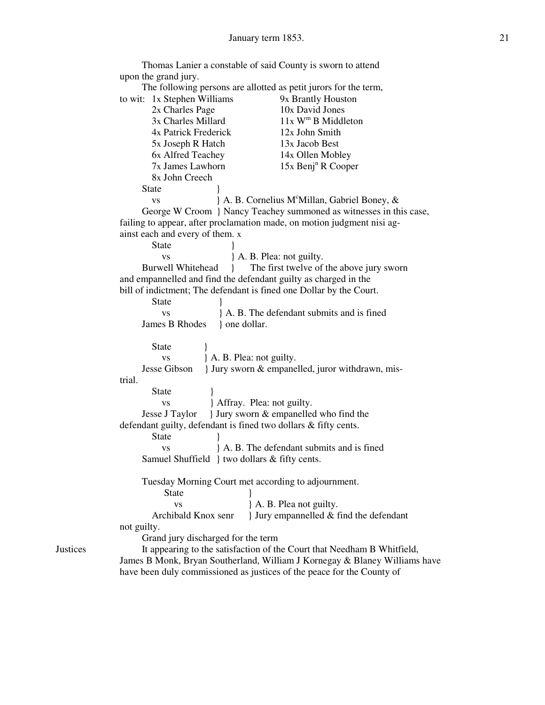|                                                                                                      | Thomas Lanier a constable of said County is sworn to attend<br>upon the grand jury.   |  |                                                                 |
|------------------------------------------------------------------------------------------------------|---------------------------------------------------------------------------------------|--|-----------------------------------------------------------------|
|                                                                                                      |                                                                                       |  |                                                                 |
|                                                                                                      | The following persons are allotted as petit jurors for the term,                      |  |                                                                 |
|                                                                                                      | to wit: 1x Stephen Williams<br>9x Brantly Houston                                     |  |                                                                 |
|                                                                                                      | 10x David Jones<br>2x Charles Page                                                    |  |                                                                 |
|                                                                                                      | $11x$ W <sup>m</sup> B Middleton<br>3x Charles Millard                                |  |                                                                 |
|                                                                                                      | 4x Patrick Frederick<br>12x John Smith                                                |  |                                                                 |
|                                                                                                      | 5x Joseph R Hatch<br>13x Jacob Best                                                   |  |                                                                 |
|                                                                                                      | 14x Ollen Mobley<br>6x Alfred Teachey                                                 |  |                                                                 |
|                                                                                                      | 7x James Lawhorn<br>$15x$ Benj <sup>n</sup> R Cooper                                  |  |                                                                 |
|                                                                                                      | 8x John Creech                                                                        |  |                                                                 |
|                                                                                                      | State                                                                                 |  |                                                                 |
|                                                                                                      | } A. B. Cornelius M°Millan, Gabriel Boney, &                                          |  |                                                                 |
|                                                                                                      | <b>VS</b>                                                                             |  |                                                                 |
|                                                                                                      | George W Croom } Nancy Teachey summoned as witnesses in this case,                    |  |                                                                 |
|                                                                                                      | failing to appear, after proclamation made, on motion judgment nisi ag-               |  |                                                                 |
|                                                                                                      | ainst each and every of them. x                                                       |  |                                                                 |
|                                                                                                      | <b>State</b>                                                                          |  |                                                                 |
|                                                                                                      | } A. B. Plea: not guilty.<br><b>VS</b>                                                |  |                                                                 |
|                                                                                                      | The first twelve of the above jury sworn<br><b>Burwell Whitehead</b><br>$\mathcal{L}$ |  |                                                                 |
|                                                                                                      | and empannelled and find the defendant guilty as charged in the                       |  |                                                                 |
|                                                                                                      | bill of indictment; The defendant is fined one Dollar by the Court.                   |  |                                                                 |
|                                                                                                      | <b>State</b>                                                                          |  |                                                                 |
|                                                                                                      | A. B. The defendant submits and is fined<br><b>VS</b>                                 |  |                                                                 |
|                                                                                                      | James B Rhodes<br>} one dollar.                                                       |  |                                                                 |
|                                                                                                      |                                                                                       |  |                                                                 |
|                                                                                                      | <b>State</b>                                                                          |  |                                                                 |
|                                                                                                      | } A. B. Plea: not guilty.<br><b>VS</b>                                                |  |                                                                 |
|                                                                                                      | } Jury sworn & empanelled, juror withdrawn, mis-<br>Jesse Gibson                      |  |                                                                 |
|                                                                                                      | trial.                                                                                |  |                                                                 |
|                                                                                                      | <b>State</b>                                                                          |  |                                                                 |
| } Affray. Plea: not guilty.<br><b>VS</b><br>} Jury sworn & empanelled who find the<br>Jesse J Taylor |                                                                                       |  |                                                                 |
|                                                                                                      |                                                                                       |  | defendant guilty, defendant is fined two dollars & fifty cents. |
|                                                                                                      | <b>State</b>                                                                          |  |                                                                 |
|                                                                                                      | A. B. The defendant submits and is fined<br><b>VS</b>                                 |  |                                                                 |
|                                                                                                      | Samuel Shuffield } two dollars & fifty cents.                                         |  |                                                                 |
|                                                                                                      |                                                                                       |  |                                                                 |
|                                                                                                      | Tuesday Morning Court met according to adjournment.                                   |  |                                                                 |
|                                                                                                      | <b>State</b>                                                                          |  |                                                                 |
|                                                                                                      | A. B. Plea not guilty.<br><b>VS</b>                                                   |  |                                                                 |
|                                                                                                      | Archibald Knox senr<br>I Jury empannelled $&$ find the defendant                      |  |                                                                 |
| not guilty.                                                                                          |                                                                                       |  |                                                                 |
|                                                                                                      | Grand jury discharged for the term                                                    |  |                                                                 |
| <b>Justices</b>                                                                                      | It appearing to the satisfaction of the Court that Needham B Whitfield,               |  |                                                                 |
|                                                                                                      | James B Monk, Bryan Southerland, William J Kornegay & Blaney Williams have            |  |                                                                 |
|                                                                                                      |                                                                                       |  |                                                                 |

have been duly commissioned as justices of the peace for the County of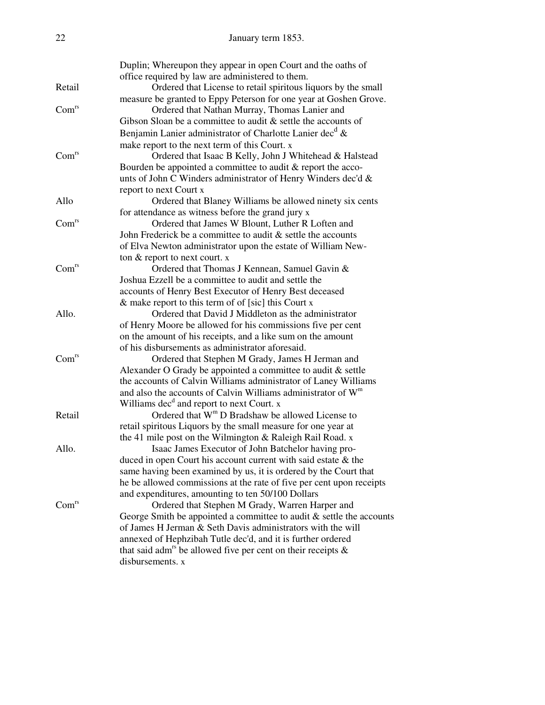| 22                | January term 1853.                                                                                                                       |  |  |
|-------------------|------------------------------------------------------------------------------------------------------------------------------------------|--|--|
|                   | Duplin; Whereupon they appear in open Court and the oaths of<br>office required by law are administered to them.                         |  |  |
| Retail            | Ordered that License to retail spiritous liquors by the small<br>measure be granted to Eppy Peterson for one year at Goshen Grove.       |  |  |
| Com <sup>rs</sup> | Ordered that Nathan Murray, Thomas Lanier and                                                                                            |  |  |
|                   | Gibson Sloan be a committee to audit $\&$ settle the accounts of<br>Benjamin Lanier administrator of Charlotte Lanier dec <sup>d</sup> & |  |  |
|                   | make report to the next term of this Court. x                                                                                            |  |  |
| Com <sup>rs</sup> | Ordered that Isaac B Kelly, John J Whitehead & Halstead                                                                                  |  |  |
|                   | Bourden be appointed a committee to audit & report the acco-<br>unts of John C Winders administrator of Henry Winders dec'd &            |  |  |
|                   | report to next Court x                                                                                                                   |  |  |
| Allo              | Ordered that Blaney Williams be allowed ninety six cents                                                                                 |  |  |
|                   | for attendance as witness before the grand jury x                                                                                        |  |  |
| Com <sup>rs</sup> | Ordered that James W Blount, Luther R Loften and                                                                                         |  |  |
|                   | John Frederick be a committee to audit $\&$ settle the accounts                                                                          |  |  |
|                   | of Elva Newton administrator upon the estate of William New-<br>ton $&$ report to next court. $x$                                        |  |  |
| Com <sup>rs</sup> | Ordered that Thomas J Kennean, Samuel Gavin &                                                                                            |  |  |
|                   | Joshua Ezzell be a committee to audit and settle the                                                                                     |  |  |
|                   | accounts of Henry Best Executor of Henry Best deceased                                                                                   |  |  |
|                   | $\&$ make report to this term of of [sic] this Court x                                                                                   |  |  |
| Allo.             | Ordered that David J Middleton as the administrator                                                                                      |  |  |
|                   | of Henry Moore be allowed for his commissions five per cent                                                                              |  |  |
|                   | on the amount of his receipts, and a like sum on the amount                                                                              |  |  |
|                   | of his disbursements as administrator aforesaid.                                                                                         |  |  |
| Com <sup>rs</sup> | Ordered that Stephen M Grady, James H Jerman and                                                                                         |  |  |
|                   | Alexander O Grady be appointed a committee to audit & settle                                                                             |  |  |
|                   | the accounts of Calvin Williams administrator of Laney Williams                                                                          |  |  |
|                   | and also the accounts of Calvin Williams administrator of W <sup>m</sup>                                                                 |  |  |
| Retail            | Williams dec <sup>d</sup> and report to next Court. x<br>Ordered that W <sup>m</sup> D Bradshaw be allowed License to                    |  |  |
|                   | retail spiritous Liquors by the small measure for one year at                                                                            |  |  |
|                   | the 41 mile post on the Wilmington & Raleigh Rail Road. x                                                                                |  |  |
| Allo.             | Isaac James Executor of John Batchelor having pro-                                                                                       |  |  |
|                   | duced in open Court his account current with said estate & the                                                                           |  |  |
|                   | same having been examined by us, it is ordered by the Court that                                                                         |  |  |
|                   | he be allowed commissions at the rate of five per cent upon receipts                                                                     |  |  |
|                   | and expenditures, amounting to ten 50/100 Dollars                                                                                        |  |  |
| Com <sup>rs</sup> | Ordered that Stephen M Grady, Warren Harper and                                                                                          |  |  |
|                   | George Smith be appointed a committee to audit $\&$ settle the accounts                                                                  |  |  |
|                   | of James H Jerman & Seth Davis administrators with the will                                                                              |  |  |
|                   | annexed of Hephzibah Tutle dec'd, and it is further ordered                                                                              |  |  |
|                   | that said adm <sup>rs</sup> be allowed five per cent on their receipts $\&$<br>disbursements. x                                          |  |  |
|                   |                                                                                                                                          |  |  |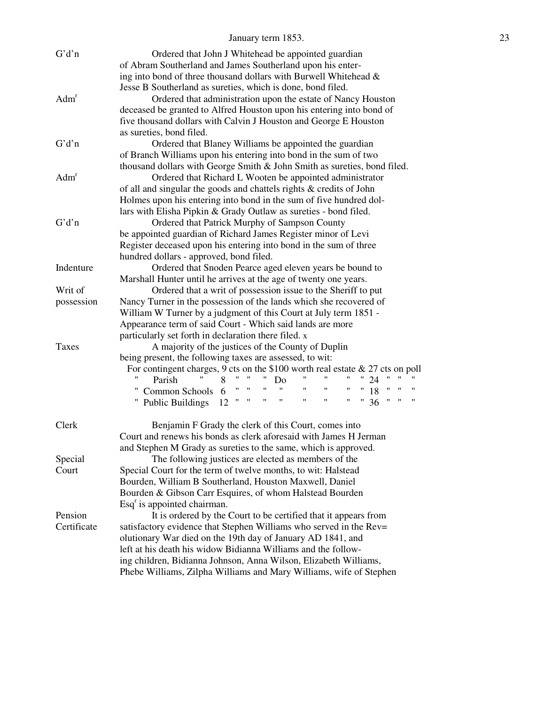#### January term 1853. 23

|                  | G'd'n                                                                                                               | Ordered that John J Whitehead be appointed guardian                                                                                              |  |
|------------------|---------------------------------------------------------------------------------------------------------------------|--------------------------------------------------------------------------------------------------------------------------------------------------|--|
|                  |                                                                                                                     | of Abram Southerland and James Southerland upon his enter-                                                                                       |  |
|                  |                                                                                                                     | ing into bond of three thousand dollars with Burwell Whitehead &                                                                                 |  |
|                  |                                                                                                                     | Jesse B Southerland as sureties, which is done, bond filed.                                                                                      |  |
|                  | Adm <sup>r</sup>                                                                                                    | Ordered that administration upon the estate of Nancy Houston                                                                                     |  |
|                  |                                                                                                                     | deceased be granted to Alfred Houston upon his entering into bond of                                                                             |  |
|                  |                                                                                                                     | five thousand dollars with Calvin J Houston and George E Houston                                                                                 |  |
|                  |                                                                                                                     | as sureties, bond filed.                                                                                                                         |  |
|                  | G'd'n                                                                                                               | Ordered that Blaney Williams be appointed the guardian                                                                                           |  |
|                  |                                                                                                                     | of Branch Williams upon his entering into bond in the sum of two                                                                                 |  |
|                  |                                                                                                                     | thousand dollars with George Smith & John Smith as sureties, bond filed.                                                                         |  |
| Adm <sup>r</sup> |                                                                                                                     |                                                                                                                                                  |  |
|                  |                                                                                                                     | Ordered that Richard L Wooten be appointed administrator                                                                                         |  |
|                  |                                                                                                                     | of all and singular the goods and chattels rights & credits of John                                                                              |  |
|                  |                                                                                                                     | Holmes upon his entering into bond in the sum of five hundred dol-                                                                               |  |
|                  |                                                                                                                     | lars with Elisha Pipkin & Grady Outlaw as sureties - bond filed.                                                                                 |  |
|                  | G'd'n                                                                                                               | Ordered that Patrick Murphy of Sampson County                                                                                                    |  |
|                  |                                                                                                                     | be appointed guardian of Richard James Register minor of Levi                                                                                    |  |
|                  |                                                                                                                     | Register deceased upon his entering into bond in the sum of three                                                                                |  |
|                  |                                                                                                                     | hundred dollars - approved, bond filed.                                                                                                          |  |
|                  | Indenture                                                                                                           | Ordered that Snoden Pearce aged eleven years be bound to                                                                                         |  |
|                  |                                                                                                                     | Marshall Hunter until he arrives at the age of twenty one years.                                                                                 |  |
|                  | Writ of                                                                                                             | Ordered that a writ of possession issue to the Sheriff to put                                                                                    |  |
|                  | possession                                                                                                          | Nancy Turner in the possession of the lands which she recovered of                                                                               |  |
|                  |                                                                                                                     | William W Turner by a judgment of this Court at July term 1851 -                                                                                 |  |
|                  |                                                                                                                     | Appearance term of said Court - Which said lands are more                                                                                        |  |
|                  |                                                                                                                     | particularly set forth in declaration there filed. x                                                                                             |  |
|                  | <b>Taxes</b>                                                                                                        | A majority of the justices of the County of Duplin                                                                                               |  |
|                  |                                                                                                                     | being present, the following taxes are assessed, to wit:                                                                                         |  |
|                  |                                                                                                                     | For contingent charges, 9 cts on the $$100$ worth real estate & 27 cts on poll                                                                   |  |
|                  |                                                                                                                     | 11<br>8<br>24<br>Parish<br>Do                                                                                                                    |  |
|                  |                                                                                                                     | $\ u\ =\ u\ =\ u\ $<br>$\pmb{\mathsf{H}}$<br>Ħ<br>$\mathbf{H}$<br>$\mathbf{H}$<br>18<br>$\mathbf{H}$<br>$^{\prime\prime}$<br>Common Schools 6    |  |
|                  |                                                                                                                     | $\pmb{\mathsf{H}}$<br>$\mathbf{H}$<br>$\pmb{\mathsf{H}}$<br>$\pmb{\mathsf{H}}$<br>36<br>$\mathbf{H}$<br>11<br>"<br>"<br>" Public Buildings<br>12 |  |
|                  |                                                                                                                     |                                                                                                                                                  |  |
|                  | Clerk                                                                                                               | Benjamin F Grady the clerk of this Court, comes into                                                                                             |  |
|                  |                                                                                                                     | Court and renews his bonds as clerk aforesaid with James H Jerman                                                                                |  |
|                  |                                                                                                                     | and Stephen M Grady as sureties to the same, which is approved.                                                                                  |  |
|                  | Special                                                                                                             | The following justices are elected as members of the                                                                                             |  |
|                  | Court                                                                                                               | Special Court for the term of twelve months, to wit: Halstead                                                                                    |  |
|                  | Bourden, William B Southerland, Houston Maxwell, Daniel<br>Bourden & Gibson Carr Esquires, of whom Halstead Bourden |                                                                                                                                                  |  |
|                  |                                                                                                                     |                                                                                                                                                  |  |
|                  |                                                                                                                     | $\text{Esq}^r$ is appointed chairman.                                                                                                            |  |
|                  | Pension                                                                                                             | It is ordered by the Court to be certified that it appears from                                                                                  |  |
|                  | Certificate                                                                                                         | satisfactory evidence that Stephen Williams who served in the Rev=                                                                               |  |
|                  | olutionary War died on the 19th day of January AD 1841, and                                                         |                                                                                                                                                  |  |
|                  | left at his death his widow Bidianna Williams and the follow-                                                       |                                                                                                                                                  |  |
|                  |                                                                                                                     | ing children, Bidianna Johnson, Anna Wilson, Elizabeth Williams,                                                                                 |  |
|                  |                                                                                                                     | Phebe Williams, Zilpha Williams and Mary Williams, wife of Stephen                                                                               |  |
|                  |                                                                                                                     |                                                                                                                                                  |  |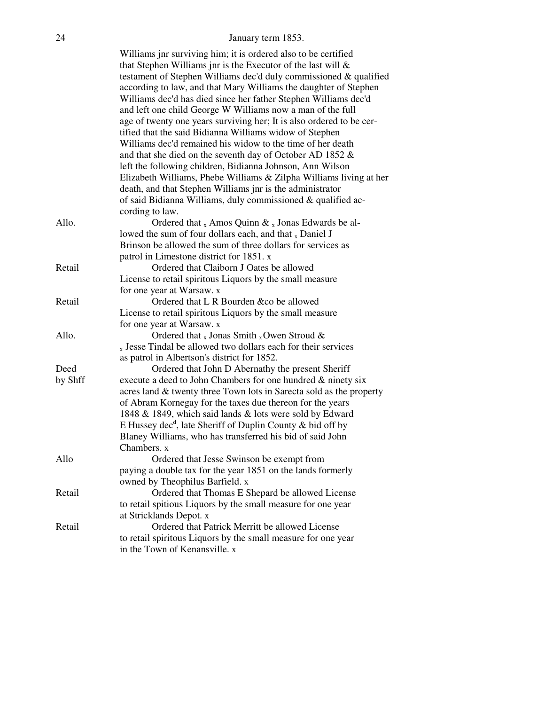#### 24 January term 1853.

|         | Williams jnr surviving him; it is ordered also to be certified<br>that Stephen Williams jnr is the Executor of the last will $\&$ |
|---------|-----------------------------------------------------------------------------------------------------------------------------------|
|         | testament of Stephen Williams dec'd duly commissioned & qualified                                                                 |
|         | according to law, and that Mary Williams the daughter of Stephen                                                                  |
|         |                                                                                                                                   |
|         | Williams dec'd has died since her father Stephen Williams dec'd                                                                   |
|         | and left one child George W Williams now a man of the full                                                                        |
|         | age of twenty one years surviving her; It is also ordered to be cer-                                                              |
|         | tified that the said Bidianna Williams widow of Stephen                                                                           |
|         | Williams dec'd remained his widow to the time of her death                                                                        |
|         | and that she died on the seventh day of October AD 1852 $\&$                                                                      |
|         | left the following children, Bidianna Johnson, Ann Wilson                                                                         |
|         | Elizabeth Williams, Phebe Williams & Zilpha Williams living at her                                                                |
|         | death, and that Stephen Williams jnr is the administrator                                                                         |
|         | of said Bidianna Williams, duly commissioned & qualified ac-                                                                      |
|         | cording to law.                                                                                                                   |
| Allo.   | Ordered that $_{x}$ Amos Quinn $\&$ $_{x}$ Jonas Edwards be al-                                                                   |
|         | lowed the sum of four dollars each, and that $_{x}$ Daniel J                                                                      |
|         | Brinson be allowed the sum of three dollars for services as                                                                       |
|         | patrol in Limestone district for 1851. x                                                                                          |
| Retail  | Ordered that Claiborn J Oates be allowed                                                                                          |
|         | License to retail spiritous Liquors by the small measure                                                                          |
|         | for one year at Warsaw. x                                                                                                         |
| Retail  | Ordered that L R Bourden &co be allowed                                                                                           |
|         | License to retail spiritous Liquors by the small measure                                                                          |
|         | for one year at Warsaw. x                                                                                                         |
| Allo.   | Ordered that $_{x}$ Jonas Smith $_{x}$ Owen Stroud &                                                                              |
|         | $_{x}$ Jesse Tindal be allowed two dollars each for their services                                                                |
|         | as patrol in Albertson's district for 1852.                                                                                       |
| Deed    | Ordered that John D Abernathy the present Sheriff                                                                                 |
| by Shff | execute a deed to John Chambers for one hundred $\&$ ninety six                                                                   |
|         | acres land & twenty three Town lots in Sarecta sold as the property                                                               |
|         | of Abram Kornegay for the taxes due thereon for the years                                                                         |
|         | 1848 & 1849, which said lands & lots were sold by Edward                                                                          |
|         | E Hussey dec <sup>d</sup> , late Sheriff of Duplin County & bid off by                                                            |
|         | Blaney Williams, who has transferred his bid of said John                                                                         |
|         | Chambers. x                                                                                                                       |
| Allo    | Ordered that Jesse Swinson be exempt from                                                                                         |
|         | paying a double tax for the year 1851 on the lands formerly                                                                       |
|         | owned by Theophilus Barfield. x                                                                                                   |
| Retail  | Ordered that Thomas E Shepard be allowed License                                                                                  |
|         | to retail spitious Liquors by the small measure for one year                                                                      |
|         | at Stricklands Depot. x                                                                                                           |
| Retail  | Ordered that Patrick Merritt be allowed License                                                                                   |
|         | to retail spiritous Liquors by the small measure for one year                                                                     |
|         | in the Town of Kenansville. x                                                                                                     |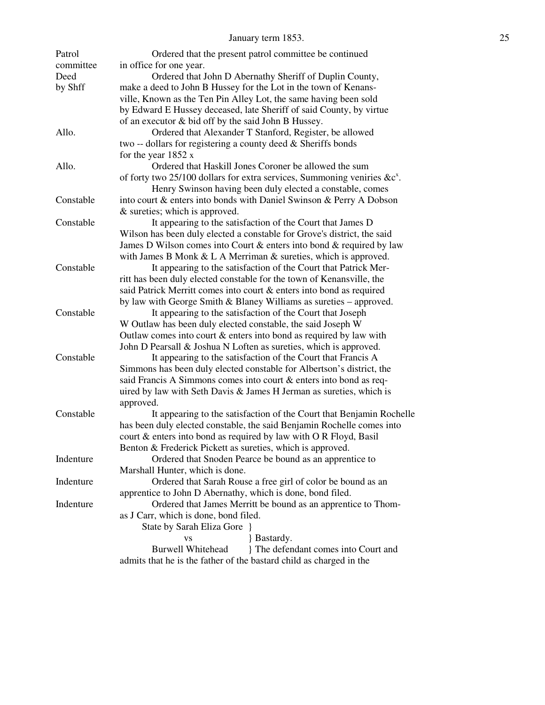| Patrol<br>committee | Ordered that the present patrol committee be continued                                          |  |
|---------------------|-------------------------------------------------------------------------------------------------|--|
| Deed                | in office for one year.                                                                         |  |
|                     | Ordered that John D Abernathy Sheriff of Duplin County,                                         |  |
| by Shff             | make a deed to John B Hussey for the Lot in the town of Kenans-                                 |  |
|                     | ville, Known as the Ten Pin Alley Lot, the same having been sold                                |  |
|                     | by Edward E Hussey deceased, late Sheriff of said County, by virtue                             |  |
|                     | of an executor & bid off by the said John B Hussey.                                             |  |
| Allo.               | Ordered that Alexander T Stanford, Register, be allowed                                         |  |
|                     | two -- dollars for registering a county deed & Sheriffs bonds                                   |  |
|                     | for the year $1852 x$                                                                           |  |
| Allo.               | Ordered that Haskill Jones Coroner be allowed the sum                                           |  |
|                     | of forty two $25/100$ dollars for extra services, Summoning veniries & $c^x$ .                  |  |
|                     | Henry Swinson having been duly elected a constable, comes                                       |  |
| Constable           | into court & enters into bonds with Daniel Swinson & Perry A Dobson                             |  |
|                     | & sureties; which is approved.                                                                  |  |
| Constable           | It appearing to the satisfaction of the Court that James D                                      |  |
|                     | Wilson has been duly elected a constable for Grove's district, the said                         |  |
|                     | James D Wilson comes into Court & enters into bond & required by law                            |  |
|                     | with James B Monk $& L A$ Merriman $&$ sureties, which is approved.                             |  |
| Constable           | It appearing to the satisfaction of the Court that Patrick Mer-                                 |  |
|                     | ritt has been duly elected constable for the town of Kenansville, the                           |  |
|                     | said Patrick Merritt comes into court & enters into bond as required                            |  |
|                     | by law with George Smith & Blaney Williams as sureties - approved.                              |  |
| Constable           | It appearing to the satisfaction of the Court that Joseph                                       |  |
|                     | W Outlaw has been duly elected constable, the said Joseph W                                     |  |
|                     | Outlaw comes into court $\&$ enters into bond as required by law with                           |  |
|                     | John D Pearsall & Joshua N Loften as sureties, which is approved.                               |  |
| Constable           | It appearing to the satisfaction of the Court that Francis A                                    |  |
|                     | Simmons has been duly elected constable for Albertson's district, the                           |  |
|                     | said Francis A Simmons comes into court & enters into bond as req-                              |  |
|                     | uired by law with Seth Davis & James H Jerman as sureties, which is                             |  |
|                     | approved.                                                                                       |  |
| Constable           | It appearing to the satisfaction of the Court that Benjamin Rochelle                            |  |
|                     | has been duly elected constable, the said Benjamin Rochelle comes into                          |  |
|                     | court & enters into bond as required by law with O R Floyd, Basil                               |  |
|                     | Benton & Frederick Pickett as sureties, which is approved.                                      |  |
| Indenture           | Ordered that Snoden Pearce be bound as an apprentice to                                         |  |
|                     |                                                                                                 |  |
| Indenture           | Marshall Hunter, which is done.<br>Ordered that Sarah Rouse a free girl of color be bound as an |  |
|                     | apprentice to John D Abernathy, which is done, bond filed.                                      |  |
| Indenture           | Ordered that James Merritt be bound as an apprentice to Thom-                                   |  |
|                     |                                                                                                 |  |
|                     | as J Carr, which is done, bond filed.<br>State by Sarah Eliza Gore }                            |  |
|                     |                                                                                                 |  |
|                     | <b>Bastardy.</b><br><b>VS</b><br><b>Burwell Whitehead</b>                                       |  |
|                     | The defendant comes into Court and                                                              |  |
|                     | admits that he is the father of the bastard child as charged in the                             |  |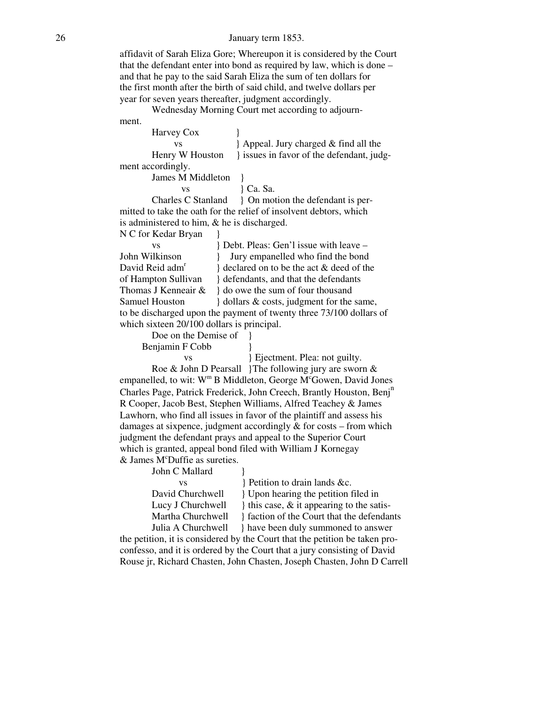#### 26 January term 1853.

 affidavit of Sarah Eliza Gore; Whereupon it is considered by the Court that the defendant enter into bond as required by law, which is done – and that he pay to the said Sarah Eliza the sum of ten dollars for the first month after the birth of said child, and twelve dollars per year for seven years thereafter, judgment accordingly.

 Wednesday Morning Court met according to adjourn ment.

| Harvey Cox                                     |                                                                     |
|------------------------------------------------|---------------------------------------------------------------------|
| <b>VS</b>                                      | Appeal. Jury charged & find all the                                 |
| Henry W Houston                                | single issues in favor of the defendant, judg-                      |
| ment accordingly.                              |                                                                     |
| James M Middleton                              |                                                                     |
| <b>VS</b>                                      | } Ca. Sa.                                                           |
| Charles C Stanland                             | { On motion the defendant is per-                                   |
|                                                | mitted to take the oath for the relief of insolvent debtors, which  |
| is administered to him, $\&$ he is discharged. |                                                                     |
| N C for Kedar Bryan                            |                                                                     |
| <b>VS</b>                                      | Bebt. Pleas: Gen'l issue with leave –                               |
| John Wilkinson                                 | Jury empanelled who find the bond                                   |
| David Reid adm <sup>r</sup>                    | } declared on to be the act & deed of the                           |
| of Hampton Sullivan                            | defendants, and that the defendants                                 |
| Thomas J Kenneair &                            | o owe the sum of four thousand                                      |
| Samuel Houston                                 | dollars & costs, judgment for the same,                             |
|                                                | to be discharged upon the payment of twenty three 73/100 dollars of |
| which sixteen 20/100 dollars is principal.     |                                                                     |
| Dog on the Demise of 1                         |                                                                     |

Doe on the Demise of  $\}$ Benjamin F Cobb }

vs } Ejectment. Plea: not guilty.

 Roe & John D Pearsall }The following jury are sworn & empanelled, to wit:  $W^m B$  Middleton, George M<sup>c</sup>Gowen, David Jones Charles Page, Patrick Frederick, John Creech, Brantly Houston, Benj<sup>n</sup> R Cooper, Jacob Best, Stephen Williams, Alfred Teachey & James Lawhorn, who find all issues in favor of the plaintiff and assess his damages at sixpence, judgment accordingly & for costs – from which judgment the defendant prays and appeal to the Superior Court which is granted, appeal bond filed with William J Kornegay  $&$  James M<sup>c</sup>Duffie as sureties.

John C Mallard  $\}$ 

vs } Petition to drain lands &c.

David Churchwell  $\{$  Upon hearing the petition filed in Lucy J Churchwell  $\downarrow$  this case, & it appearing to the satis-Martha Churchwell } faction of the Court that the defendants Julia A Churchwell } have been duly summoned to answer

 the petition, it is considered by the Court that the petition be taken pro confesso, and it is ordered by the Court that a jury consisting of David Rouse jr, Richard Chasten, John Chasten, Joseph Chasten, John D Carrell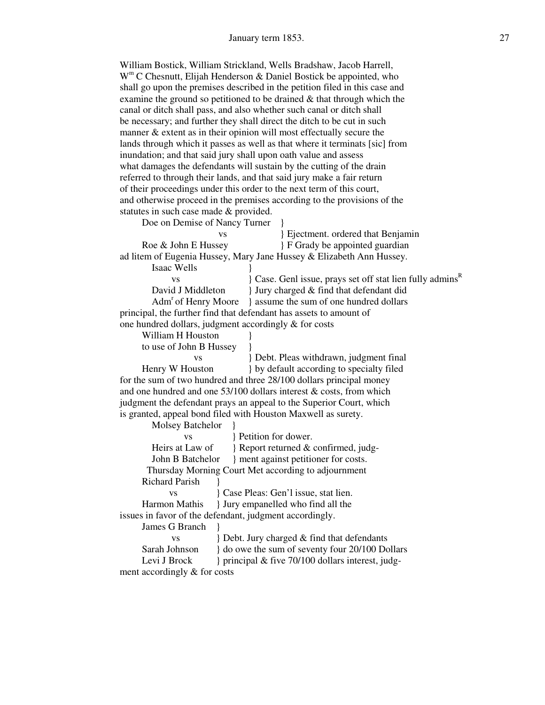William Bostick, William Strickland, Wells Bradshaw, Jacob Harrell, W<sup>m</sup> C Chesnutt, Elijah Henderson & Daniel Bostick be appointed, who shall go upon the premises described in the petition filed in this case and examine the ground so petitioned to be drained & that through which the canal or ditch shall pass, and also whether such canal or ditch shall be necessary; and further they shall direct the ditch to be cut in such manner & extent as in their opinion will most effectually secure the lands through which it passes as well as that where it terminats [sic] from inundation; and that said jury shall upon oath value and assess what damages the defendants will sustain by the cutting of the drain referred to through their lands, and that said jury make a fair return of their proceedings under this order to the next term of this court, and otherwise proceed in the premises according to the provisions of the statutes in such case made & provided.

Doe on Demise of Nancy Turner  $\{$ 

| <b>VS</b>                                                     | Ejectment. ordered that Benjamin                                      |  |  |
|---------------------------------------------------------------|-----------------------------------------------------------------------|--|--|
| Roe & John E Hussey                                           | F Grady be appointed guardian                                         |  |  |
|                                                               | ad litem of Eugenia Hussey, Mary Jane Hussey & Elizabeth Ann Hussey.  |  |  |
| Isaac Wells                                                   |                                                                       |  |  |
| <b>VS</b>                                                     | } Case. Genl issue, prays set off stat lien fully admins <sup>R</sup> |  |  |
| David J Middleton                                             | I Jury charged & find that defendant did                              |  |  |
| Adm <sup>r</sup> of Henry Moore                               | assume the sum of one hundred dollars                                 |  |  |
|                                                               | principal, the further find that defendant has assets to amount of    |  |  |
| one hundred dollars, judgment accordingly & for costs         |                                                                       |  |  |
| William H Houston                                             |                                                                       |  |  |
| to use of John B Hussey                                       |                                                                       |  |  |
| <b>VS</b>                                                     | Bebt. Pleas withdrawn, judgment final                                 |  |  |
| Henry W Houston                                               | } by default according to specialty filed                             |  |  |
|                                                               | for the sum of two hundred and three 28/100 dollars principal money   |  |  |
|                                                               | and one hundred and one $53/100$ dollars interest & costs, from which |  |  |
|                                                               | judgment the defendant prays an appeal to the Superior Court, which   |  |  |
| is granted, appeal bond filed with Houston Maxwell as surety. |                                                                       |  |  |
| Molsey Batchelor                                              |                                                                       |  |  |
| <b>VS</b>                                                     | Petition for dower.                                                   |  |  |
|                                                               | Heirs at Law of Report returned & confirmed, judg-                    |  |  |
|                                                               |                                                                       |  |  |
|                                                               | Thursday Morning Court Met according to adjournment                   |  |  |
| <b>Richard Parish</b>                                         |                                                                       |  |  |
| <b>VS</b>                                                     | { Case Pleas: Gen'l issue, stat lien.                                 |  |  |
| Harmon Mathis                                                 | } Jury empanelled who find all the                                    |  |  |
| issues in favor of the defendant, judgment accordingly.       |                                                                       |  |  |
| James G Branch                                                |                                                                       |  |  |
| <b>VS</b>                                                     | Bebt. Jury charged & find that defendants                             |  |  |
| Sarah Johnson                                                 | } do owe the sum of seventy four 20/100 Dollars                       |  |  |
| Levi J Brock                                                  | principal & five 70/100 dollars interest, judg-                       |  |  |
| ment accordingly & for costs                                  |                                                                       |  |  |
|                                                               |                                                                       |  |  |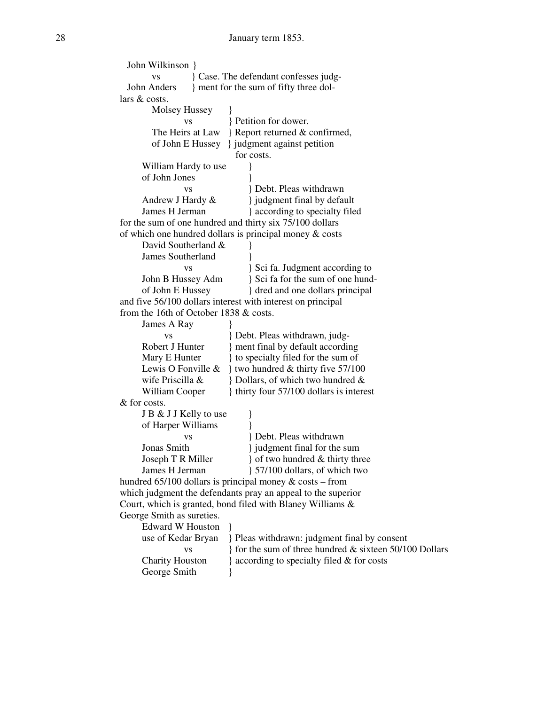| John Wilkinson }                                         |                                                              |  |
|----------------------------------------------------------|--------------------------------------------------------------|--|
| Case. The defendant confesses judg-<br><b>VS</b>         |                                                              |  |
| John Anders                                              | } ment for the sum of fifty three dol-                       |  |
| lars & costs.                                            |                                                              |  |
| Molsey Hussey                                            |                                                              |  |
| <b>VS</b>                                                | Petition for dower.                                          |  |
| The Heirs at Law                                         | Report returned & confirmed,                                 |  |
| of John E Hussey                                         | } judgment against petition                                  |  |
|                                                          | for costs.                                                   |  |
| William Hardy to use                                     |                                                              |  |
| of John Jones                                            |                                                              |  |
| <b>VS</b>                                                | Bebt. Pleas withdrawn                                        |  |
| Andrew J Hardy &                                         | } judgment final by default                                  |  |
| James H Jerman                                           | } according to specialty filed                               |  |
| for the sum of one hundred and thirty six 75/100 dollars |                                                              |  |
|                                                          | of which one hundred dollars is principal money $\&$ costs   |  |
| David Southerland &                                      |                                                              |  |
| <b>James Southerland</b>                                 |                                                              |  |
| VS                                                       | } Sci fa. Judgment according to                              |  |
| John B Hussey Adm                                        | } Sci fa for the sum of one hund-                            |  |
| of John E Hussey                                         | { dred and one dollars principal                             |  |
|                                                          | and five 56/100 dollars interest with interest on principal  |  |
| from the 16th of October 1838 & costs.                   |                                                              |  |
|                                                          |                                                              |  |
| James A Ray                                              |                                                              |  |
| <b>VS</b>                                                | B Debt. Pleas withdrawn, judg-                               |  |
| Robert J Hunter                                          | ment final by default according                              |  |
| Mary E Hunter                                            | } to specialty filed for the sum of                          |  |
| Lewis O Fonville &                                       | } two hundred $&$ thirty five 57/100                         |  |
| wife Priscilla &                                         | Bollars, of which two hundred &                              |  |
| William Cooper                                           | thirty four 57/100 dollars is interest                       |  |
| & for costs.                                             |                                                              |  |
| J B & J J Kelly to use                                   |                                                              |  |
| of Harper Williams                                       |                                                              |  |
| <b>VS</b>                                                | <b>Debt. Pleas withdrawn</b>                                 |  |
| Jonas Smith                                              | } judgment final for the sum                                 |  |
| Joseph T R Miller                                        | of two hundred & thirty three                                |  |
| James H Jerman                                           | 57/100 dollars, of which two                                 |  |
|                                                          | hundred $65/100$ dollars is principal money & costs – from   |  |
|                                                          | which judgment the defendants pray an appeal to the superior |  |
|                                                          | Court, which is granted, bond filed with Blaney Williams &   |  |
| George Smith as sureties.                                |                                                              |  |
| <b>Edward W Houston</b>                                  |                                                              |  |
| use of Kedar Bryan                                       | Pleas withdrawn: judgment final by consent                   |  |
| <b>VS</b>                                                | If for the sum of three hundred $\&$ sixteen 50/100 Dollars  |  |
| <b>Charity Houston</b>                                   | } according to specialty filed & for costs                   |  |
| George Smith                                             |                                                              |  |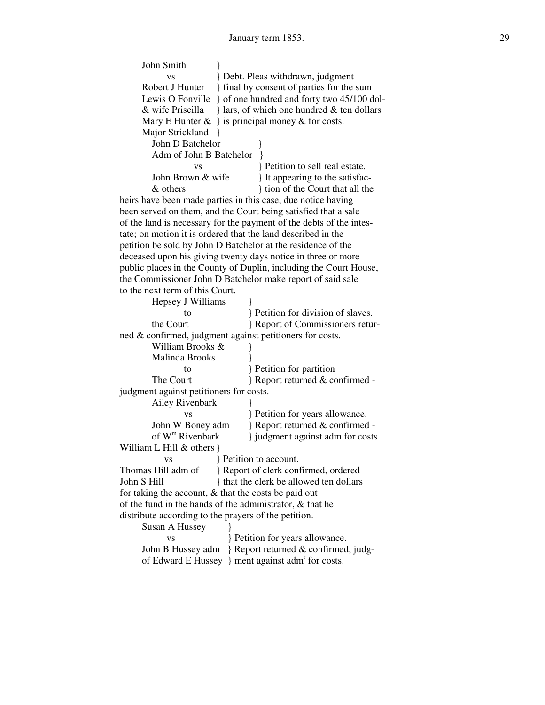| John Smith                                                   |                                                        |                                                                     |
|--------------------------------------------------------------|--------------------------------------------------------|---------------------------------------------------------------------|
|                                                              |                                                        |                                                                     |
| <b>VS</b><br>Robert J Hunter                                 |                                                        | Bebt. Pleas withdrawn, judgment                                     |
|                                                              |                                                        | {final by consent of parties for the sum}                           |
|                                                              |                                                        | Lewis O Fonville } of one hundred and forty two 45/100 dol-         |
| & wife Priscilla                                             |                                                        | } lars, of which one hundred & ten dollars                          |
|                                                              |                                                        | Mary E Hunter $\&\}$ is principal money $\&$ for costs.             |
| Major Strickland                                             |                                                        |                                                                     |
| John D Batchelor                                             |                                                        |                                                                     |
| Adm of John B Batchelor                                      |                                                        |                                                                     |
| <b>VS</b>                                                    |                                                        | Petition to sell real estate.                                       |
| John Brown & wife                                            |                                                        | It appearing to the satisfac-                                       |
| & others                                                     |                                                        | { tion of the Court that all the                                    |
|                                                              |                                                        | heirs have been made parties in this case, due notice having        |
|                                                              |                                                        | been served on them, and the Court being satisfied that a sale      |
|                                                              |                                                        | of the land is necessary for the payment of the debts of the intes- |
| tate; on motion it is ordered that the land described in the |                                                        |                                                                     |
|                                                              |                                                        | petition be sold by John D Batchelor at the residence of the        |
|                                                              |                                                        | deceased upon his giving twenty days notice in three or more        |
|                                                              |                                                        | public places in the County of Duplin, including the Court House,   |
|                                                              |                                                        | the Commissioner John D Batchelor make report of said sale          |
| to the next term of this Court.                              |                                                        |                                                                     |
| Hepsey J Williams                                            |                                                        |                                                                     |
| to                                                           |                                                        | Petition for division of slaves.                                    |
| the Court                                                    |                                                        | Report of Commissioners retur-                                      |
| ned & confirmed, judgment against petitioners for costs.     |                                                        |                                                                     |
| William Brooks &                                             |                                                        |                                                                     |
| Malinda Brooks                                               |                                                        |                                                                     |
| to                                                           |                                                        | } Petition for partition                                            |
| The Court                                                    |                                                        | } Report returned & confirmed -                                     |
|                                                              |                                                        |                                                                     |
| judgment against petitioners for costs.                      |                                                        |                                                                     |
| Ailey Rivenbark                                              |                                                        |                                                                     |
| VS                                                           |                                                        | } Petition for years allowance.                                     |
| John W Boney adm                                             |                                                        | Report returned & confirmed -                                       |
| of W <sup>m</sup> Rivenbark                                  |                                                        | } judgment against adm for costs                                    |
| William L Hill & others }                                    |                                                        |                                                                     |
| VS                                                           |                                                        | Petition to account.                                                |
| Thomas Hill adm of                                           |                                                        | Report of clerk confirmed, ordered                                  |
|                                                              | John S Hill<br>} that the clerk be allowed ten dollars |                                                                     |
| for taking the account, $\&$ that the costs be paid out      |                                                        |                                                                     |
| of the fund in the hands of the administrator, & that he     |                                                        |                                                                     |
|                                                              | distribute according to the prayers of the petition.   |                                                                     |
| Susan A Hussey                                               |                                                        |                                                                     |
| <b>VS</b>                                                    |                                                        | Petition for years allowance.                                       |
| John B Hussey adm                                            |                                                        | Report returned & confirmed, judg-                                  |
|                                                              |                                                        | of Edward E Hussey } ment against adm <sup>r</sup> for costs.       |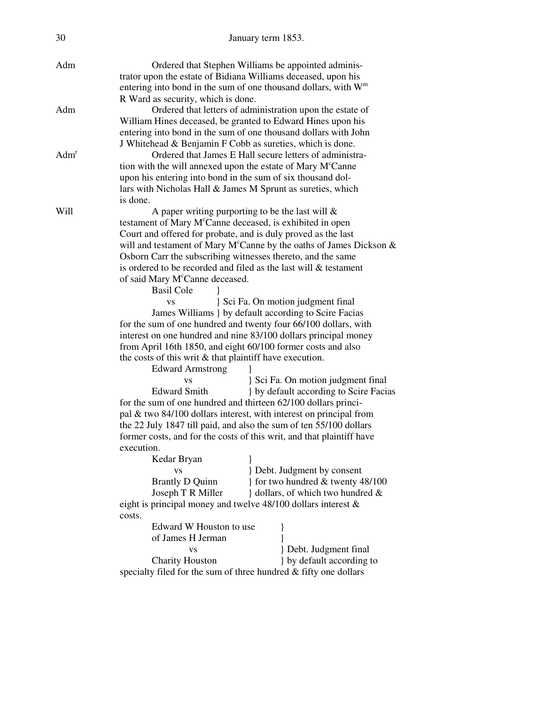| 30               | January term 1853.                                                    |                                                                                    |
|------------------|-----------------------------------------------------------------------|------------------------------------------------------------------------------------|
| Adm              |                                                                       | Ordered that Stephen Williams be appointed adminis-                                |
|                  |                                                                       | trator upon the estate of Bidiana Williams deceased, upon his                      |
|                  |                                                                       | entering into bond in the sum of one thousand dollars, with $Wm$                   |
|                  | R Ward as security, which is done.                                    |                                                                                    |
| Adm              |                                                                       | Ordered that letters of administration upon the estate of                          |
|                  |                                                                       | William Hines deceased, be granted to Edward Hines upon his                        |
|                  |                                                                       | entering into bond in the sum of one thousand dollars with John                    |
|                  |                                                                       | J Whitehead & Benjamin F Cobb as sureties, which is done.                          |
| Adm <sup>r</sup> |                                                                       | Ordered that James E Hall secure letters of administra-                            |
|                  |                                                                       | tion with the will annexed upon the estate of Mary M <sup>c</sup> Canne            |
|                  |                                                                       | upon his entering into bond in the sum of six thousand dol-                        |
|                  |                                                                       | lars with Nicholas Hall & James M Sprunt as sureties, which                        |
|                  | is done.                                                              |                                                                                    |
| Will             |                                                                       | A paper writing purporting to be the last will $\&$                                |
|                  |                                                                       | testament of Mary M <sup>c</sup> Canne deceased, is exhibited in open              |
|                  |                                                                       | Court and offered for probate, and is duly proved as the last                      |
|                  |                                                                       | will and testament of Mary M <sup>c</sup> Canne by the oaths of James Dickson $\&$ |
|                  |                                                                       | Osborn Carr the subscribing witnesses thereto, and the same                        |
|                  |                                                                       | is ordered to be recorded and filed as the last will & testament                   |
|                  | of said Mary M <sup>c</sup> Canne deceased.                           |                                                                                    |
|                  | <b>Basil Cole</b>                                                     |                                                                                    |
|                  | <b>VS</b>                                                             | Sci Fa. On motion judgment final                                                   |
|                  |                                                                       | James Williams } by default according to Scire Facias                              |
|                  |                                                                       | for the sum of one hundred and twenty four 66/100 dollars, with                    |
|                  |                                                                       | interest on one hundred and nine 83/100 dollars principal money                    |
|                  |                                                                       | from April 16th 1850, and eight 60/100 former costs and also                       |
|                  | the costs of this writ $\&$ that plaintiff have execution.            |                                                                                    |
|                  | <b>Edward Armstrong</b>                                               |                                                                                    |
|                  | <b>VS</b>                                                             | Sci Fa. On motion judgment final                                                   |
|                  | <b>Edward Smith</b>                                                   | } by default according to Scire Facias                                             |
|                  |                                                                       | for the sum of one hundred and thirteen 62/100 dollars princi-                     |
|                  |                                                                       | pal $&$ two 84/100 dollars interest, with interest on principal from               |
|                  |                                                                       | the 22 July 1847 till paid, and also the sum of ten 55/100 dollars                 |
|                  | former costs, and for the costs of this writ, and that plaintiff have |                                                                                    |
|                  | execution.                                                            |                                                                                    |
|                  | Kedar Bryan                                                           |                                                                                    |
|                  | <b>VS</b>                                                             | Bebt. Judgment by consent                                                          |
|                  | <b>Brantly D Quinn</b>                                                | for two hundred & twenty 48/100                                                    |
|                  | Joseph T R Miller                                                     | } dollars, of which two hundred &                                                  |
|                  |                                                                       | eight is principal money and twelve $48/100$ dollars interest $\&$                 |
|                  | costs.                                                                |                                                                                    |
|                  | Edward W Houston to use                                               |                                                                                    |
|                  | of James H Jerman                                                     |                                                                                    |
|                  | <b>VS</b>                                                             | } Debt. Judgment final                                                             |
|                  | <b>Charity Houston</b>                                                | } by default according to                                                          |
|                  | specialty filed for the sum of three hundred & fifty one dollars      |                                                                                    |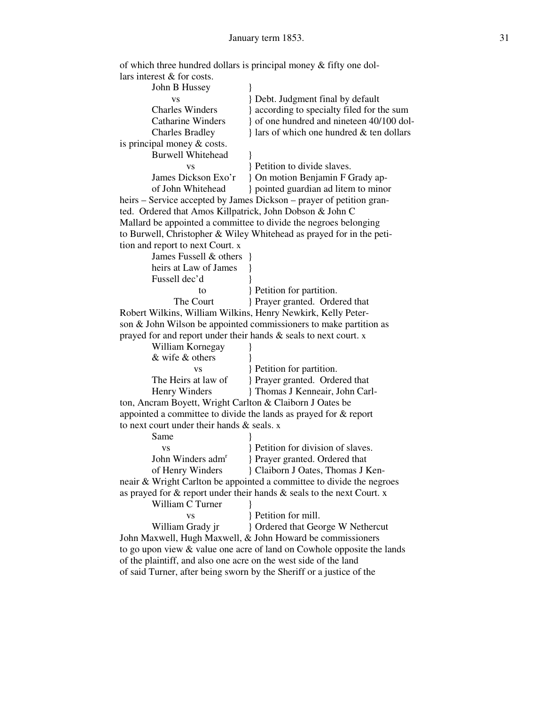| lars interest $&$ for costs.                                         |                                                                             |
|----------------------------------------------------------------------|-----------------------------------------------------------------------------|
| John B Hussey                                                        |                                                                             |
| VS                                                                   | B Debt. Judgment final by default                                           |
| <b>Charles Winders</b>                                               | } according to specialty filed for the sum                                  |
| <b>Catharine Winders</b>                                             | of one hundred and nineteen 40/100 dol-                                     |
| <b>Charles Bradley</b>                                               | } lars of which one hundred & ten dollars                                   |
| is principal money $& \text{costs}.$                                 |                                                                             |
| <b>Burwell Whitehead</b>                                             |                                                                             |
| <b>VS</b>                                                            | } Petition to divide slaves.                                                |
| James Dickson Exo'r                                                  | On motion Benjamin F Grady ap-                                              |
| of John Whitehead                                                    | } pointed guardian ad litem to minor                                        |
|                                                                      | heirs - Service accepted by James Dickson - prayer of petition gran-        |
| ted. Ordered that Amos Killpatrick, John Dobson & John C             |                                                                             |
|                                                                      | Mallard be appointed a committee to divide the negroes belonging            |
|                                                                      | to Burwell, Christopher & Wiley Whitehead as prayed for in the peti-        |
| tion and report to next Court. x                                     |                                                                             |
| James Fussell & others }                                             |                                                                             |
| heirs at Law of James                                                |                                                                             |
| Fussell dec'd                                                        |                                                                             |
| to                                                                   | Petition for partition.                                                     |
| The Court                                                            | Prayer granted. Ordered that                                                |
| Robert Wilkins, William Wilkins, Henry Newkirk, Kelly Peter-         |                                                                             |
|                                                                      | son & John Wilson be appointed commissioners to make partition as           |
| prayed for and report under their hands $\&$ seals to next court. x  |                                                                             |
| William Kornegay                                                     |                                                                             |
| & wife & others                                                      |                                                                             |
| <b>VS</b>                                                            | Petition for partition.                                                     |
| The Heirs at law of                                                  | Prayer granted. Ordered that                                                |
| Henry Winders                                                        | } Thomas J Kenneair, John Carl-                                             |
| ton, Ancram Boyett, Wright Carlton & Claiborn J Oates be             |                                                                             |
| appointed a committee to divide the lands as prayed for $\&$ report  |                                                                             |
| to next court under their hands & seals. x                           |                                                                             |
| Same                                                                 |                                                                             |
| <b>VS</b>                                                            | Petition for division of slaves.                                            |
| John Winders adm <sup>r</sup>                                        | Prayer granted. Ordered that                                                |
| of Henry Winders                                                     | Claiborn J Oates, Thomas J Ken-                                             |
|                                                                      | neair & Wright Carlton be appointed a committee to divide the negroes       |
|                                                                      | as prayed for $\&$ report under their hands $\&$ seals to the next Court. x |
| William C Turner                                                     |                                                                             |
| <b>VS</b>                                                            | Petition for mill.                                                          |
| William Grady jr                                                     | } Ordered that George W Nethercut                                           |
|                                                                      | John Maxwell, Hugh Maxwell, & John Howard be commissioners                  |
|                                                                      | to go upon view $\&$ value one acre of land on Cowhole opposite the lands   |
| of the plaintiff, and also one acre on the west side of the land     |                                                                             |
| of said Turner, after being sworn by the Sheriff or a justice of the |                                                                             |
|                                                                      |                                                                             |

of which three hundred dollars is principal money & fifty one dol-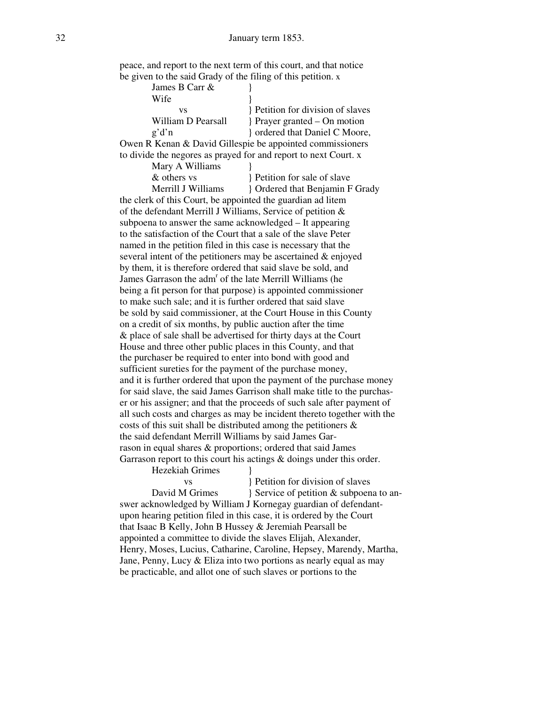| peace, and report to the next term of this court, and that notice |  |
|-------------------------------------------------------------------|--|
| be given to the said Grady of the filing of this petition. x      |  |

| James B Carr &                                                  |                                 |
|-----------------------------------------------------------------|---------------------------------|
| Wife                                                            |                                 |
| VS                                                              | Petition for division of slaves |
| William D Pearsall                                              | Prayer granted – On motion      |
| $\mathfrak{g}'$ d'n                                             | ordered that Daniel C Moore,    |
| Owen R Kenan & David Gillespie be appointed commissioners       |                                 |
| to divide the negores as prayed for and report to next Court. x |                                 |

| Mary A Williams    |                                |
|--------------------|--------------------------------|
| & others vs        | Petition for sale of slave     |
| Merrill J Williams | Cridered that Benjamin F Grady |

 the clerk of this Court, be appointed the guardian ad litem of the defendant Merrill J Williams, Service of petition & subpoena to answer the same acknowledged – It appearing to the satisfaction of the Court that a sale of the slave Peter named in the petition filed in this case is necessary that the several intent of the petitioners may be ascertained & enjoyed by them, it is therefore ordered that said slave be sold, and James Garrason the adm<sup>r</sup> of the late Merrill Williams (he being a fit person for that purpose) is appointed commissioner to make such sale; and it is further ordered that said slave be sold by said commissioner, at the Court House in this County on a credit of six months, by public auction after the time & place of sale shall be advertised for thirty days at the Court House and three other public places in this County, and that the purchaser be required to enter into bond with good and sufficient sureties for the payment of the purchase money, and it is further ordered that upon the payment of the purchase money for said slave, the said James Garrison shall make title to the purchas er or his assigner; and that the proceeds of such sale after payment of all such costs and charges as may be incident thereto together with the costs of this suit shall be distributed among the petitioners & the said defendant Merrill Williams by said James Gar rason in equal shares & proportions; ordered that said James Garrason report to this court his actings & doings under this order.

Hezekiah Grimes

vs } Petition for division of slaves David M Grimes <br>  $\{$  Service of petition & subpoena to an swer acknowledged by William J Kornegay guardian of defendant upon hearing petition filed in this case, it is ordered by the Court that Isaac B Kelly, John B Hussey & Jeremiah Pearsall be appointed a committee to divide the slaves Elijah, Alexander, Henry, Moses, Lucius, Catharine, Caroline, Hepsey, Marendy, Martha, Jane, Penny, Lucy & Eliza into two portions as nearly equal as may be practicable, and allot one of such slaves or portions to the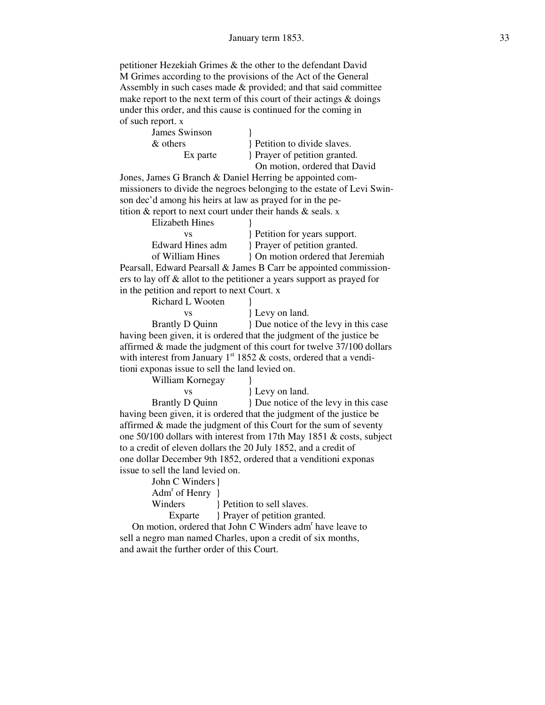petitioner Hezekiah Grimes & the other to the defendant David M Grimes according to the provisions of the Act of the General Assembly in such cases made & provided; and that said committee make report to the next term of this court of their actings  $\&$  doings under this order, and this cause is continued for the coming in of such report. x

| James Swinson |  |
|---------------|--|
| & others      |  |
| Ex parte      |  |

Petition to divide slaves. Prayer of petition granted. On motion, ordered that David

 Jones, James G Branch & Daniel Herring be appointed com missioners to divide the negroes belonging to the estate of Levi Swin son dec'd among his heirs at law as prayed for in the pe tition  $\&$  report to next court under their hands  $\&$  seals. x

| Elizabeth Hines  |                                                                           |
|------------------|---------------------------------------------------------------------------|
| VS               | Petition for years support.                                               |
| Edward Hines adm | Prayer of petition granted.                                               |
| of William Hines | On motion ordered that Jeremiah                                           |
|                  | Pearsall, Edward Pearsall & James B Carr be appointed commission-         |
|                  | ers to lay off $\&$ allot to the petitioner a years support as prayed for |

in the petition and report to next Court. x

Richard L Wooten

| VS                                      |  |
|-----------------------------------------|--|
| $\alpha$ rantl $\sigma$ D $\alpha$ uinn |  |

{ $L$ evy on land.

Brantly D Quinn } Due notice of the levy in this case having been given, it is ordered that the judgment of the justice be affirmed & made the judgment of this court for twelve 37/100 dollars with interest from January  $1<sup>st</sup> 1852 \&$  costs, ordered that a venditioni exponas issue to sell the land levied on.

William Kornegay }

vs } Levy on land.

Brantly D Quinn } Due notice of the levy in this case having been given, it is ordered that the judgment of the justice be affirmed & made the judgment of this Court for the sum of seventy one 50/100 dollars with interest from 17th May 1851 & costs, subject to a credit of eleven dollars the 20 July 1852, and a credit of one dollar December 9th 1852, ordered that a venditioni exponas issue to sell the land levied on.

| John C Winders }               |                             |
|--------------------------------|-----------------------------|
| Adm <sup>r</sup> of Henry $\}$ |                             |
| Winders                        | Petition to sell slaves.    |
| Exparte                        | Prayer of petition granted. |
|                                |                             |

On motion, ordered that John C Winders adm<sup>r</sup> have leave to sell a negro man named Charles, upon a credit of six months, and await the further order of this Court.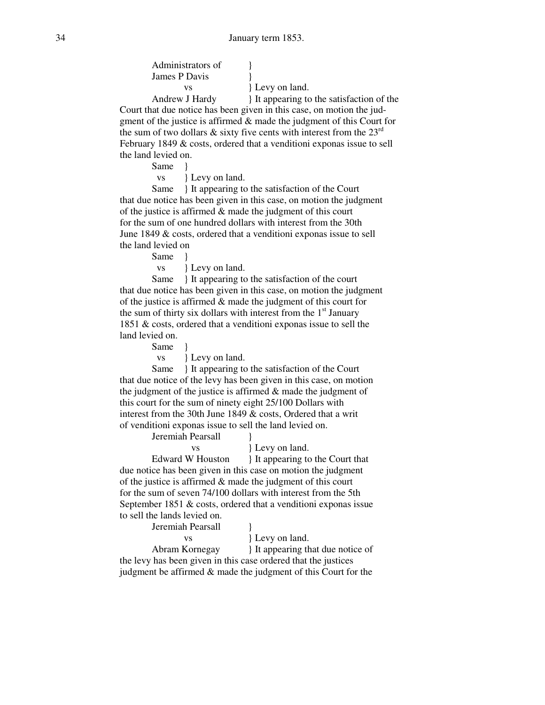Administrators of  $\qquad \}$ James P Davis }

vs } Levy on land.

Andrew J Hardy } It appearing to the satisfaction of the Court that due notice has been given in this case, on motion the jud gment of the justice is affirmed & made the judgment of this Court for the sum of two dollars & sixty five cents with interest from the  $23<sup>rd</sup>$  February 1849 & costs, ordered that a venditioni exponas issue to sell the land levied on.

Same }

vs } Levy on land.

Same } It appearing to the satisfaction of the Court that due notice has been given in this case, on motion the judgment of the justice is affirmed  $\&$  made the judgment of this court for the sum of one hundred dollars with interest from the 30th June 1849 & costs, ordered that a venditioni exponas issue to sell the land levied on

Same }

vs } Levy on land.

Same } It appearing to the satisfaction of the court that due notice has been given in this case, on motion the judgment of the justice is affirmed & made the judgment of this court for the sum of thirty six dollars with interest from the  $1<sup>st</sup>$  January 1851 & costs, ordered that a venditioni exponas issue to sell the land levied on.

Same }

vs } Levy on land.

Same  $\{$  It appearing to the satisfaction of the Court that due notice of the levy has been given in this case, on motion the judgment of the justice is affirmed & made the judgment of this court for the sum of ninety eight 25/100 Dollars with interest from the 30th June 1849 & costs, Ordered that a writ of venditioni exponas issue to sell the land levied on.

Jeremiah Pearsall }

vs } Levy on land.

Edward W Houston } It appearing to the Court that due notice has been given in this case on motion the judgment of the justice is affirmed & made the judgment of this court for the sum of seven 74/100 dollars with interest from the 5th September 1851 & costs, ordered that a venditioni exponas issue to sell the lands levied on.

Jeremiah Pearsall }

vs } Levy on land.

Abram Kornegay } It appearing that due notice of the levy has been given in this case ordered that the justices judgment be affirmed & made the judgment of this Court for the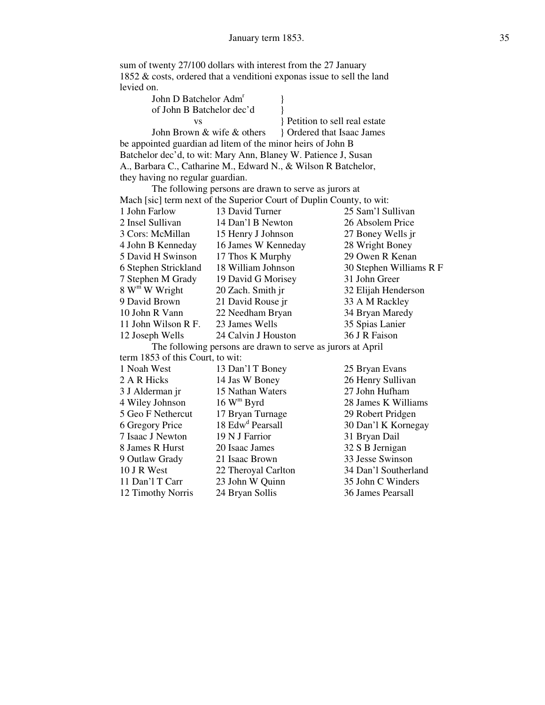sum of twenty 27/100 dollars with interest from the 27 January 1852 & costs, ordered that a venditioni exponas issue to sell the land levied on.

| John D Batchelor Adm <sup>r</sup> |  |
|-----------------------------------|--|
| of John B Batchelor dec'd         |  |
|                                   |  |

 vs } Petition to sell real estate John Brown & wife & others <br>} Ordered that Isaac James

 be appointed guardian ad litem of the minor heirs of John B Batchelor dec'd, to wit: Mary Ann, Blaney W. Patience J, Susan A., Barbara C., Catharine M., Edward N., & Wilson R Batchelor, they having no regular guardian.

 The following persons are drawn to serve as jurors at Mach [sic] term next of the Superior Court of Duplin County, to wit:<br>1 John Farlow 13 David Turner 25 Sam'l Su 1 John Farlow 13 David Turner 25 Sam'l Sullivan 2 Insel Sullivan 14 Dan'l B Newton 26 Absolem Price 3 Cors: McMillan 15 Henry J Johnson 27 Boney Wells jr 4 John B Kenneday 16 James W Kenneday 28 Wright Boney 5 David H Swinson 17 Thos K Murphy 29 Owen R Kenan 6 Stephen Strickland 18 William Johnson 30 Stephen Williams R F 7 Stephen M Grady 19 David G Morisey 31 John Greer 8 W<sup>m</sup> W Wright 20 Zach. Smith jr 32 Elijah Henderson 9 David Brown 21 David Rouse jr 33 A M Rackley 10 John R Vann 22 Needham Bryan 34 Bryan Maredy 11 John Wilson R F. 23 James Wells 35 Spias Lanier 12 Joseph Wells 24 Calvin J Houston 36 J R Faison The following persons are drawn to serve as jurors at April term 1853 of this Court, to wit: 1 Noah West 13 Dan'l T Boney 25 Bryan Evans

2 A R Hicks 14 Jas W Boney 26 Henry Sullivan 3 J Alderman jr 15 Nathan Waters 27 John Hufham 4 Wiley Johnson  $16 W^m$  Byrd 5 Geo F Nethercut 17 Bryan Turnage 29 Robert Pridgen<br>6 Gregory Price 18 Edw<sup>d</sup> Pearsall 30 Dan'l K Kornes 6 Gregory Price 7 Isaac J Newton 19 N J Farrior 31 Bryan Dail 8 James R Hurst 20 Isaac James 32 S B Jernigan 9 Outlaw Grady 21 Isaac Brown 33 Jesse Swinson 10 J R West 22 Theroyal Carlton 34 Dan'l Southerland 11 Dan'l T Carr 23 John W Quinn 35 John C Winders 12 Timothy Norris 24 Bryan Sollis 36 James Pearsall

28 James K Williams 30 Dan'l K Kornegay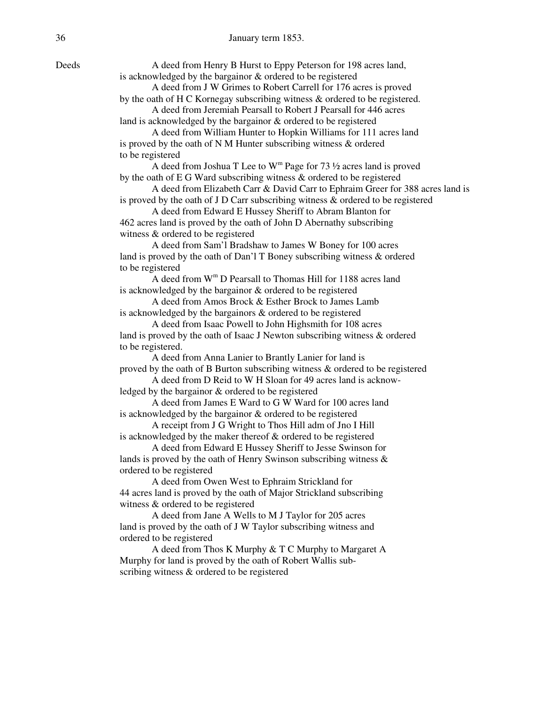Deeds A deed from Henry B Hurst to Eppy Peterson for 198 acres land, is acknowledged by the bargainor & ordered to be registered

 A deed from J W Grimes to Robert Carrell for 176 acres is proved by the oath of H C Kornegay subscribing witness & ordered to be registered. A deed from Jeremiah Pearsall to Robert J Pearsall for 446 acres

land is acknowledged by the bargainor & ordered to be registered

 A deed from William Hunter to Hopkin Williams for 111 acres land is proved by the oath of N M Hunter subscribing witness & ordered to be registered

A deed from Joshua T Lee to  $W^m$  Page for 73  $\frac{1}{2}$  acres land is proved by the oath of E G Ward subscribing witness & ordered to be registered

 A deed from Elizabeth Carr & David Carr to Ephraim Greer for 388 acres land is is proved by the oath of J D Carr subscribing witness & ordered to be registered

 A deed from Edward E Hussey Sheriff to Abram Blanton for 462 acres land is proved by the oath of John D Abernathy subscribing witness & ordered to be registered

 A deed from Sam'l Bradshaw to James W Boney for 100 acres land is proved by the oath of Dan'l T Boney subscribing witness & ordered to be registered

A deed from  $W^m$  D Pearsall to Thomas Hill for 1188 acres land is acknowledged by the bargainor & ordered to be registered

> A deed from Amos Brock & Esther Brock to James Lamb is acknowledged by the bargainors & ordered to be registered

 A deed from Isaac Powell to John Highsmith for 108 acres land is proved by the oath of Isaac J Newton subscribing witness & ordered to be registered.

 A deed from Anna Lanier to Brantly Lanier for land is proved by the oath of B Burton subscribing witness & ordered to be registered A deed from D Reid to W H Sloan for 49 acres land is acknow-

ledged by the bargainor & ordered to be registered

 A deed from James E Ward to G W Ward for 100 acres land is acknowledged by the bargainor & ordered to be registered

 A receipt from J G Wright to Thos Hill adm of Jno I Hill is acknowledged by the maker thereof & ordered to be registered

 A deed from Edward E Hussey Sheriff to Jesse Swinson for lands is proved by the oath of Henry Swinson subscribing witness & ordered to be registered

 A deed from Owen West to Ephraim Strickland for 44 acres land is proved by the oath of Major Strickland subscribing witness & ordered to be registered

 A deed from Jane A Wells to M J Taylor for 205 acres land is proved by the oath of J W Taylor subscribing witness and ordered to be registered

 A deed from Thos K Murphy & T C Murphy to Margaret A Murphy for land is proved by the oath of Robert Wallis sub scribing witness & ordered to be registered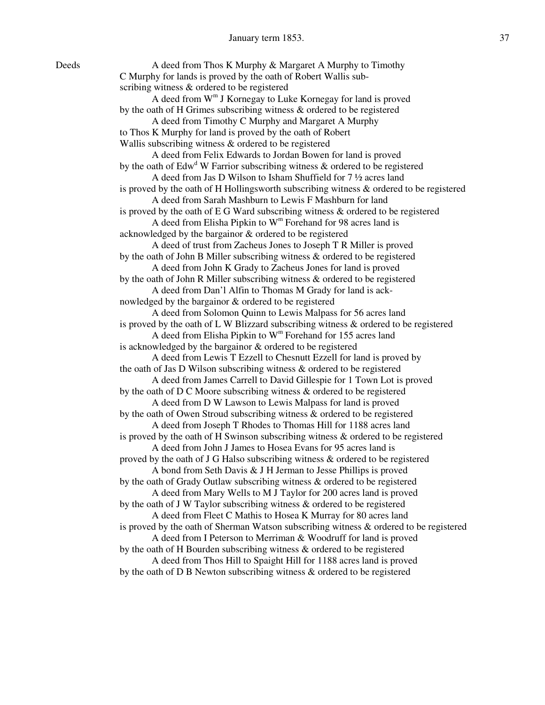| Deeds | A deed from Thos K Murphy & Margaret A Murphy to Timothy                                  |
|-------|-------------------------------------------------------------------------------------------|
|       | C Murphy for lands is proved by the oath of Robert Wallis sub-                            |
|       | scribing witness & ordered to be registered                                               |
|       | A deed from W <sup>m</sup> J Kornegay to Luke Kornegay for land is proved                 |
|       | by the oath of H Grimes subscribing witness & ordered to be registered                    |
|       | A deed from Timothy C Murphy and Margaret A Murphy                                        |
|       | to Thos K Murphy for land is proved by the oath of Robert                                 |
|       | Wallis subscribing witness & ordered to be registered                                     |
|       | A deed from Felix Edwards to Jordan Bowen for land is proved                              |
|       | by the oath of $Edwd W$ Farrior subscribing witness & ordered to be registered            |
|       | A deed from Jas D Wilson to Isham Shuffield for 7 1/2 acres land                          |
|       | is proved by the oath of H Hollingsworth subscribing witness & ordered to be registered   |
|       | A deed from Sarah Mashburn to Lewis F Mashburn for land                                   |
|       | is proved by the oath of E G Ward subscribing witness $\&$ ordered to be registered       |
|       | A deed from Elisha Pipkin to $Wm$ Forehand for 98 acres land is                           |
|       | acknowledged by the bargainor & ordered to be registered                                  |
|       | A deed of trust from Zacheus Jones to Joseph T R Miller is proved                         |
|       | by the oath of John B Miller subscribing witness & ordered to be registered               |
|       | A deed from John K Grady to Zacheus Jones for land is proved                              |
|       | by the oath of John R Miller subscribing witness $\&$ ordered to be registered            |
|       | A deed from Dan'l Alfin to Thomas M Grady for land is ack-                                |
|       | nowledged by the bargainor & ordered to be registered                                     |
|       | A deed from Solomon Quinn to Lewis Malpass for 56 acres land                              |
|       | is proved by the oath of L W Blizzard subscribing witness $\&$ ordered to be registered   |
|       | A deed from Elisha Pipkin to $Wm$ Forehand for 155 acres land                             |
|       | is acknowledged by the bargainor & ordered to be registered                               |
|       | A deed from Lewis T Ezzell to Chesnutt Ezzell for land is proved by                       |
|       | the oath of Jas D Wilson subscribing witness $\&$ ordered to be registered                |
|       | A deed from James Carrell to David Gillespie for 1 Town Lot is proved                     |
|       | by the oath of $D C$ Moore subscribing witness $\&$ ordered to be registered              |
|       | A deed from D W Lawson to Lewis Malpass for land is proved                                |
|       | by the oath of Owen Stroud subscribing witness & ordered to be registered                 |
|       | A deed from Joseph T Rhodes to Thomas Hill for 1188 acres land                            |
|       | is proved by the oath of H Swinson subscribing witness $\&$ ordered to be registered      |
|       | A deed from John J James to Hosea Evans for 95 acres land is                              |
|       | proved by the oath of J G Halso subscribing witness & ordered to be registered            |
|       | A bond from Seth Davis & J H Jerman to Jesse Phillips is proved                           |
|       | by the oath of Grady Outlaw subscribing witness & ordered to be registered                |
|       | A deed from Mary Wells to M J Taylor for 200 acres land is proved                         |
|       | by the oath of J W Taylor subscribing witness & ordered to be registered                  |
|       | A deed from Fleet C Mathis to Hosea K Murray for 80 acres land                            |
|       | is proved by the oath of Sherman Watson subscribing witness $\&$ ordered to be registered |
|       | A deed from I Peterson to Merriman & Woodruff for land is proved                          |
|       | by the oath of H Bourden subscribing witness & ordered to be registered                   |
|       | A deed from Thos Hill to Spaight Hill for 1188 acres land is proved                       |
|       | by the oath of D B Newton subscribing witness & ordered to be registered                  |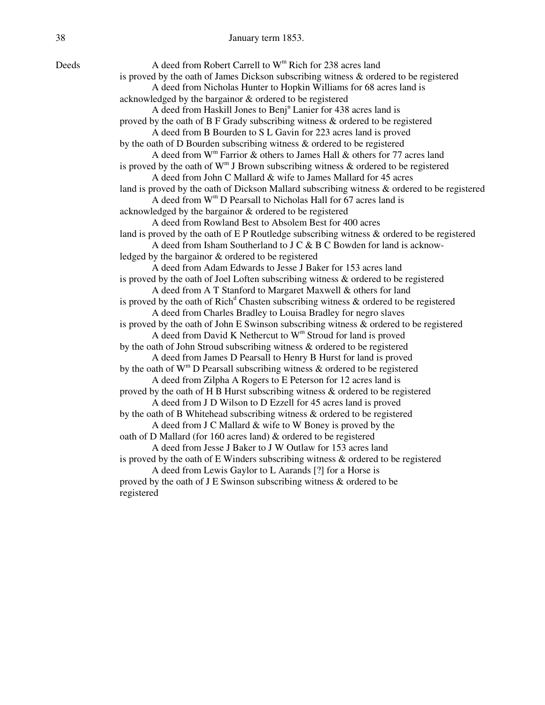| Deeds | A deed from Robert Carrell to W <sup>m</sup> Rich for 238 acres land                            |
|-------|-------------------------------------------------------------------------------------------------|
|       | is proved by the oath of James Dickson subscribing witness $\&$ ordered to be registered        |
|       | A deed from Nicholas Hunter to Hopkin Williams for 68 acres land is                             |
|       | acknowledged by the bargainor & ordered to be registered                                        |
|       | A deed from Haskill Jones to Benj <sup>n</sup> Lanier for 438 acres land is                     |
|       | proved by the oath of $B$ F Grady subscribing witness $\&$ ordered to be registered             |
|       | A deed from B Bourden to S L Gavin for 223 acres land is proved                                 |
|       | by the oath of D Bourden subscribing witness $\&$ ordered to be registered                      |
|       | A deed from $W^m$ Farrior & others to James Hall & others for 77 acres land                     |
|       | is proved by the oath of $W^m$ J Brown subscribing witness & ordered to be registered           |
|       | A deed from John C Mallard & wife to James Mallard for 45 acres                                 |
|       | land is proved by the oath of Dickson Mallard subscribing witness & ordered to be registered    |
|       | A deed from W <sup>m</sup> D Pearsall to Nicholas Hall for 67 acres land is                     |
|       | acknowledged by the bargainor & ordered to be registered                                        |
|       | A deed from Rowland Best to Absolem Best for 400 acres                                          |
|       | land is proved by the oath of E P Routledge subscribing witness & ordered to be registered      |
|       | A deed from Isham Southerland to J C & B C Bowden for land is acknow-                           |
|       | ledged by the bargainor & ordered to be registered                                              |
|       | A deed from Adam Edwards to Jesse J Baker for 153 acres land                                    |
|       | is proved by the oath of Joel Loften subscribing witness & ordered to be registered             |
|       | A deed from A T Stanford to Margaret Maxwell & others for land                                  |
|       | is proved by the oath of $\text{Rich}^d$ Chasten subscribing witness & ordered to be registered |
|       | A deed from Charles Bradley to Louisa Bradley for negro slaves                                  |
|       | is proved by the oath of John E Swinson subscribing witness & ordered to be registered          |
|       | A deed from David K Nethercut to W <sup>m</sup> Stroud for land is proved                       |
|       | by the oath of John Stroud subscribing witness & ordered to be registered                       |
|       | A deed from James D Pearsall to Henry B Hurst for land is proved                                |
|       | by the oath of $W^m D$ Pearsall subscribing witness & ordered to be registered                  |
|       | A deed from Zilpha A Rogers to E Peterson for 12 acres land is                                  |
|       | proved by the oath of H B Hurst subscribing witness & ordered to be registered                  |
|       | A deed from J D Wilson to D Ezzell for 45 acres land is proved                                  |
|       | by the oath of B Whitehead subscribing witness & ordered to be registered                       |
|       | A deed from J C Mallard & wife to W Boney is proved by the                                      |
|       | oath of D Mallard (for 160 acres land) & ordered to be registered                               |
|       | A deed from Jesse J Baker to J W Outlaw for 153 acres land                                      |
|       | is proved by the oath of E Winders subscribing witness $\&$ ordered to be registered            |
|       | A deed from Lewis Gaylor to L Aarands [?] for a Horse is                                        |
|       | proved by the oath of J E Swinson subscribing witness $\&$ ordered to be                        |
|       | registered                                                                                      |

Deeds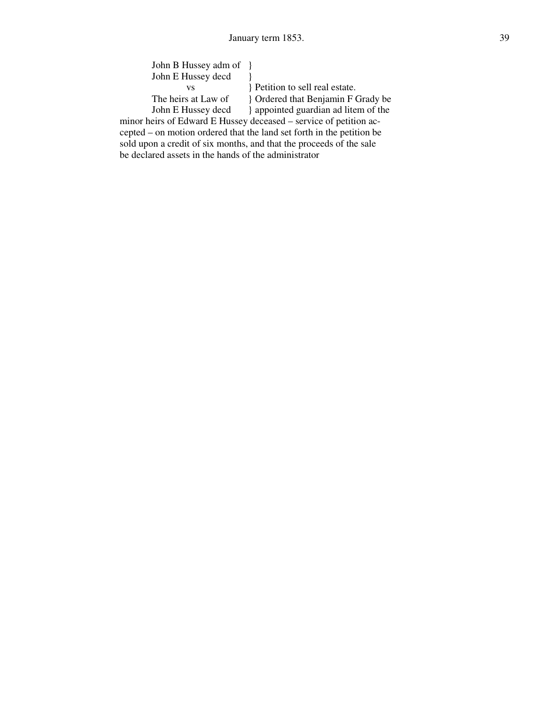| John B Hussey adm of {} |                                    |
|-------------------------|------------------------------------|
| John E Hussey decd      |                                    |
|                         | Petition to sell real estate.      |
| The heirs at Law of     | Pordered that Benjamin F Grady be  |
| John E Hussey decd      | appointed guardian ad litem of the |

 minor heirs of Edward E Hussey deceased – service of petition ac cepted – on motion ordered that the land set forth in the petition be sold upon a credit of six months, and that the proceeds of the sale be declared assets in the hands of the administrator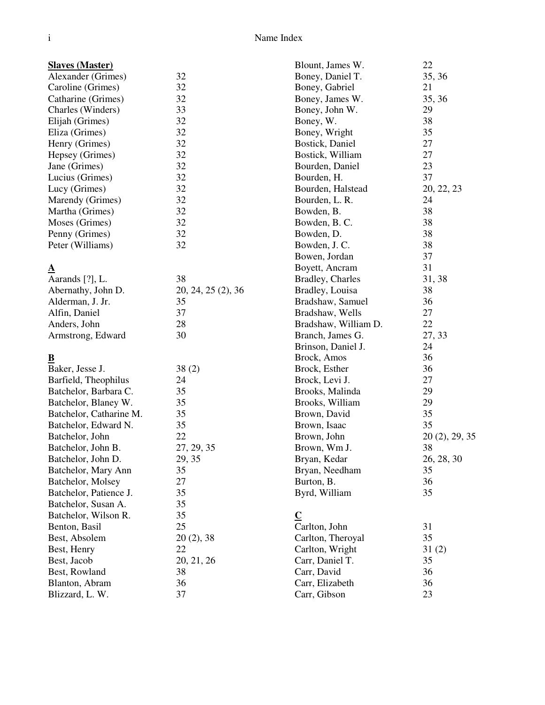#### **Slaves (Master)**

| Alexander (Grimes) | 32 |
|--------------------|----|
| Caroline (Grimes)  | 32 |
| Catharine (Grimes) | 32 |
| Charles (Winders)  | 33 |
| Elijah (Grimes)    | 32 |
| Eliza (Grimes)     | 32 |
| Henry (Grimes)     | 32 |
| Hepsey (Grimes)    | 32 |
| Jane (Grimes)      | 32 |
| Lucius (Grimes)    | 32 |
| Lucy (Grimes)      | 32 |
| Marendy (Grimes)   | 32 |
| Martha (Grimes)    | 32 |
| Moses (Grimes)     | 32 |
| Penny (Grimes)     | 32 |
| Peter (Williams)   | 32 |
|                    |    |

#### **A**

| Aarands [?], L.    | 38                 |
|--------------------|--------------------|
| Abernathy, John D. | 20, 24, 25 (2), 36 |
| Alderman, J. Jr.   | 35                 |
| Alfin, Daniel      | 37                 |
| Anders, John       | 28                 |
| Armstrong, Edward  | 30                 |

## **B**

| v                       |            |
|-------------------------|------------|
| Baker, Jesse J.         | 38(2)      |
| Barfield, Theophilus    | 24         |
| Batchelor, Barbara C.   | 35         |
| Batchelor, Blaney W.    | 35         |
| Batchelor, Catharine M. | 35         |
| Batchelor, Edward N.    | 35         |
| Batchelor, John         | 22         |
| Batchelor, John B.      | 27, 29, 35 |
| Batchelor, John D.      | 29, 35     |
| Batchelor, Mary Ann     | 35         |
| Batchelor, Molsey       | 27         |
| Batchelor, Patience J.  | 35         |
| Batchelor, Susan A.     | 35         |
| Batchelor, Wilson R.    | 35         |
| Benton, Basil           | 25         |
| Best, Absolem           | 20(2), 38  |
| Best, Henry             | 22         |
| Best, Jacob             | 20, 21, 26 |
| Best, Rowland           | 38         |
| Blanton, Abram          | 36         |
| Blizzard, L. W.         | 37         |
|                         |            |

| Blount, James W.         | 22             |
|--------------------------|----------------|
| Boney, Daniel T.         | 35, 36         |
| Boney, Gabriel           | 21             |
| Boney, James W.          | 35, 36         |
| Boney, John W.           | 29             |
| Boney, W.                | 38             |
| Boney, Wright            | 35             |
| Bostick, Daniel          | 27             |
| Bostick, William         | 27             |
| Bourden, Daniel          | 23             |
| Bourden, H.              | 37             |
| Bourden, Halstead        | 20, 22, 23     |
| Bourden, L. R.           | 24             |
| Bowden, B.               | 38             |
| Bowden, B.C.             | 38             |
| Bowden, D.               | 38             |
| Bowden, J. C.            | 38             |
| Bowen, Jordan            | 37             |
| Boyett, Ancram           | 31             |
| <b>Bradley</b> , Charles | 31, 38         |
| Bradley, Louisa          | 38             |
| Bradshaw, Samuel         | 36             |
| Bradshaw, Wells          | 27             |
| Bradshaw, William D.     | 22             |
| Branch, James G.         | 27, 33         |
| Brinson, Daniel J.       | 24             |
| Brock, Amos              | 36             |
| Brock, Esther            | 36             |
| Brock, Levi J.           | 27             |
| Brooks, Malinda          | 29             |
| Brooks, William          | 29             |
| Brown, David             | 35             |
| Brown, Isaac             | 35             |
| Brown, John              | 20 (2), 29, 35 |
| Brown, Wm J.             | 38             |
| Bryan, Kedar             | 26, 28, 30     |
| Bryan, Needham           | 35             |
| Burton, B.               | 36             |
| Byrd, William            | 35             |
| $\mathbf C$              |                |
| Carlton, John            | 31             |
| Carlton, Theroyal        | 35             |

Carlton, Wright 31 (2) Carr, Daniel T. 35 Carr, David 36<br>Carr, Elizabeth 36 Carr, Elizabeth 36<br>Carr, Gibson 23

Carr, Gibson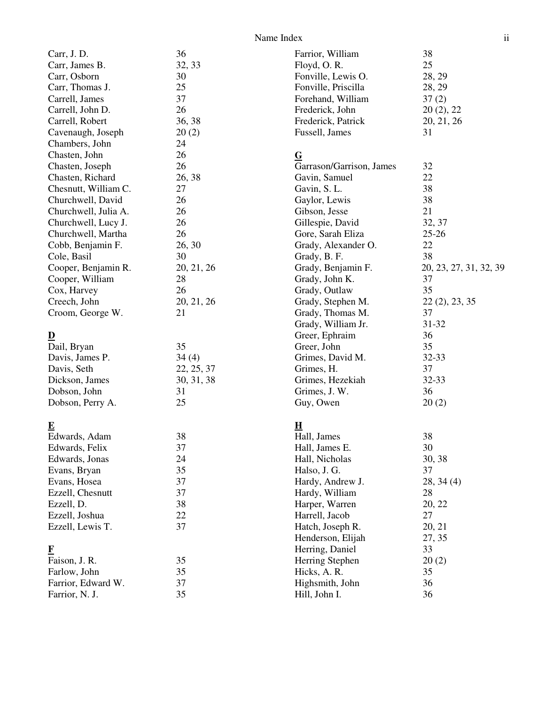#### Name Index ii

| Carr, J.D.              | 36         | Farrior, William         | 38                     |
|-------------------------|------------|--------------------------|------------------------|
| Carr, James B.          | 32, 33     | Floyd, O.R.              | 25                     |
| Carr, Osborn            | 30         | Fonville, Lewis O.       | 28, 29                 |
| Carr, Thomas J.         | 25         | Fonville, Priscilla      | 28, 29                 |
| Carrell, James          | 37         | Forehand, William        | 37(2)                  |
| Carrell, John D.        | 26         | Frederick, John          | 20(2), 22              |
| Carrell, Robert         | 36, 38     | Frederick, Patrick       | 20, 21, 26             |
| Cavenaugh, Joseph       | 20(2)      | Fussell, James           | 31                     |
| Chambers, John          | 24         |                          |                        |
| Chasten, John           | 26         | $\overline{G}$           |                        |
| Chasten, Joseph         | 26         | Garrason/Garrison, James | 32                     |
| Chasten, Richard        | 26, 38     | Gavin, Samuel            | 22                     |
| Chesnutt, William C.    | 27         | Gavin, S. L.             | 38                     |
| Churchwell, David       | 26         | Gaylor, Lewis            | 38                     |
| Churchwell, Julia A.    | 26         | Gibson, Jesse            | 21                     |
| Churchwell, Lucy J.     | 26         | Gillespie, David         | 32, 37                 |
| Churchwell, Martha      | 26         | Gore, Sarah Eliza        | $25 - 26$              |
| Cobb, Benjamin F.       | 26, 30     | Grady, Alexander O.      | 22                     |
| Cole, Basil             | 30         | Grady, B. F.             | 38                     |
| Cooper, Benjamin R.     | 20, 21, 26 | Grady, Benjamin F.       | 20, 23, 27, 31, 32, 39 |
| Cooper, William         | 28         | Grady, John K.           | 37                     |
| Cox, Harvey             | 26         | Grady, Outlaw            | 35                     |
| Creech, John            | 20, 21, 26 | Grady, Stephen M.        | 22(2), 23, 35          |
| Croom, George W.        | 21         | Grady, Thomas M.         | 37                     |
|                         |            | Grady, William Jr.       | 31-32                  |
| $\overline{\mathbf{D}}$ |            | Greer, Ephraim           | 36                     |
| Dail, Bryan             | 35         | Greer, John              | 35                     |
| Davis, James P.         | 34(4)      | Grimes, David M.         | 32-33                  |
| Davis, Seth             | 22, 25, 37 | Grimes, H.               | 37                     |
| Dickson, James          | 30, 31, 38 | Grimes, Hezekiah         | 32-33                  |
| Dobson, John            | 31         | Grimes, J. W.            | 36                     |
| Dobson, Perry A.        | 25         | Guy, Owen                | 20(2)                  |
| $\overline{\mathbf{E}}$ |            | H                        |                        |
| Edwards, Adam           | 38         | Hall, James              | 38                     |
| Edwards, Felix          | 37         | Hall, James E.           | $30\,$                 |
| Edwards, Jonas          | 24         | Hall, Nicholas           | 30, 38                 |
| Evans, Bryan            | 35         | Halso, J. G.             | 37                     |
| Evans, Hosea            | 37         | Hardy, Andrew J.         | 28, 34(4)              |
| Ezzell, Chesnutt        | 37         | Hardy, William           | 28                     |
| Ezzell, D.              | 38         | Harper, Warren           | 20, 22                 |
| Ezzell, Joshua          | 22         | Harrell, Jacob           | 27                     |
| Ezzell, Lewis T.        | 37         | Hatch, Joseph R.         | 20, 21                 |
|                         |            | Henderson, Elijah        | 27, 35                 |
| $\bf{F}$                |            | Herring, Daniel          | 33                     |
| Faison, J. R.           | 35         | Herring Stephen          | 20(2)                  |
| Farlow, John            | 35         | Hicks, A. R.             | 35                     |
| Farrior, Edward W.      | 37         | Highsmith, John          | 36                     |
| Farrior, N. J.          | 35         | Hill, John I.            | 36                     |
|                         |            |                          |                        |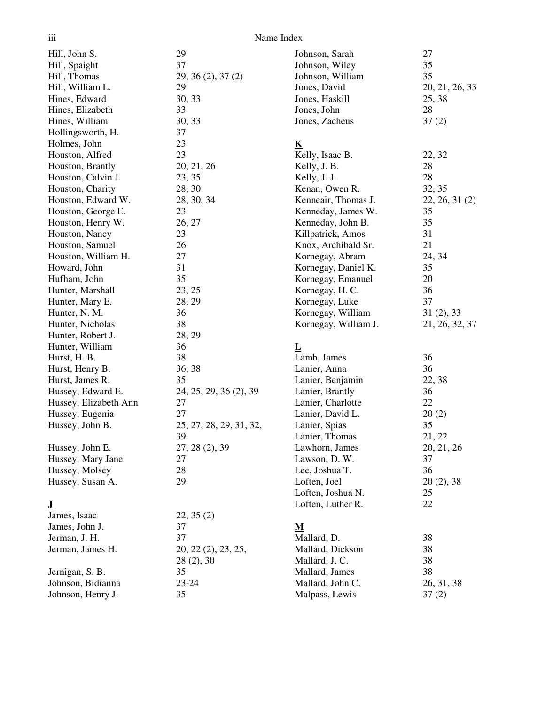| Name Index |  |
|------------|--|
|            |  |

| iii                   | Name Index              |                         |                |
|-----------------------|-------------------------|-------------------------|----------------|
| Hill, John S.         | 29                      | Johnson, Sarah          | 27             |
| Hill, Spaight         | 37                      | Johnson, Wiley          | 35             |
| Hill, Thomas          | 29, 36(2), 37(2)        | Johnson, William        | 35             |
| Hill, William L.      | 29                      | Jones, David            | 20, 21, 26, 33 |
| Hines, Edward         | 30, 33                  | Jones, Haskill          | 25, 38         |
| Hines, Elizabeth      | 33                      | Jones, John             | 28             |
| Hines, William        | 30, 33                  | Jones, Zacheus          | 37(2)          |
| Hollingsworth, H.     | 37                      |                         |                |
| Holmes, John          | 23                      | K                       |                |
| Houston, Alfred       | 23                      | Kelly, Isaac B.         | 22, 32         |
| Houston, Brantly      | 20, 21, 26              | Kelly, J. B.            | 28             |
| Houston, Calvin J.    | 23, 35                  | Kelly, J. J.            | 28             |
| Houston, Charity      | 28, 30                  | Kenan, Owen R.          | 32, 35         |
| Houston, Edward W.    | 28, 30, 34              | Kenneair, Thomas J.     | 22, 26, 31(2)  |
| Houston, George E.    | 23                      | Kenneday, James W.      | 35             |
| Houston, Henry W.     | 26, 27                  | Kenneday, John B.       | 35             |
| Houston, Nancy        | 23                      | Killpatrick, Amos       | 31             |
| Houston, Samuel       | 26                      | Knox, Archibald Sr.     | 21             |
| Houston, William H.   | 27                      | Kornegay, Abram         | 24, 34         |
| Howard, John          | 31                      | Kornegay, Daniel K.     | 35             |
| Hufham, John          | 35                      | Kornegay, Emanuel       | 20             |
| Hunter, Marshall      | 23, 25                  | Kornegay, H. C.         | 36             |
| Hunter, Mary E.       | 28, 29                  | Kornegay, Luke          | 37             |
| Hunter, N. M.         | 36                      | Kornegay, William       | 31(2), 33      |
| Hunter, Nicholas      | 38                      | Kornegay, William J.    | 21, 26, 32, 37 |
| Hunter, Robert J.     | 28, 29                  |                         |                |
| Hunter, William       | 36                      | $\overline{\mathbf{L}}$ |                |
| Hurst, H. B.          | 38                      | Lamb, James             | 36             |
| Hurst, Henry B.       | 36, 38                  | Lanier, Anna            | 36             |
| Hurst, James R.       | 35                      | Lanier, Benjamin        | 22, 38         |
| Hussey, Edward E.     | 24, 25, 29, 36 (2), 39  | Lanier, Brantly         | 36             |
| Hussey, Elizabeth Ann | 27                      | Lanier, Charlotte       | 22             |
| Hussey, Eugenia       | 27                      | Lanier, David L.        | 20(2)          |
| Hussey, John B.       | 25, 27, 28, 29, 31, 32, | Lanier, Spias           | 35             |
|                       | 39                      | Lanier, Thomas          | 21, 22         |
| Hussey, John E.       | 27, 28 (2), 39          | Lawhorn, James          | 20, 21, 26     |
| Hussey, Mary Jane     | 27                      | Lawson, D.W.            | 37             |
| Hussey, Molsey        | 28                      | Lee, Joshua T.          | 36             |
| Hussey, Susan A.      | 29                      | Loften, Joel            | 20(2), 38      |
|                       |                         | Loften, Joshua N.       | 25             |
| $\bf J$               |                         | Loften, Luther R.       | 22             |
| James, Isaac          | 22, 35(2)               |                         |                |
| James, John J.        | 37                      | M                       |                |
| Jerman, J. H.         | 37                      | Mallard, D.             | 38             |
| Jerman, James H.      | 20, 22 (2), 23, 25,     | Mallard, Dickson        | 38             |
|                       | 28(2), 30               | Mallard, J. C.          | 38             |
| Jernigan, S. B.       | 35                      | Mallard, James          | 38             |
| Johnson, Bidianna     | 23-24                   | Mallard, John C.        | 26, 31, 38     |
| Johnson, Henry J.     | 35                      | Malpass, Lewis          | 37(2)          |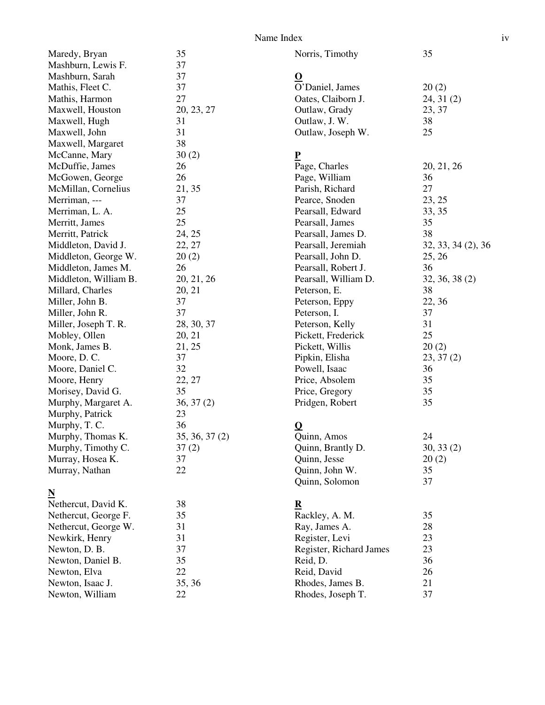| Maredy, Bryan         | 35            |
|-----------------------|---------------|
| Mashburn, Lewis F.    | 37            |
| Mashburn, Sarah       | 37            |
| Mathis, Fleet C.      | 37            |
| Mathis, Harmon        | 27            |
| Maxwell, Houston      | 20, 23, 27    |
| Maxwell, Hugh         | 31            |
| Maxwell, John         | 31            |
| Maxwell, Margaret     | 38            |
| McCanne, Mary         | 30(2)         |
| McDuffie, James       | 26            |
| McGowen, George       | 26            |
| McMillan, Cornelius   | 21, 35        |
| Merriman, ---         | 37            |
| Merriman, L. A.       | 25            |
| Merritt, James        | 25            |
| Merritt, Patrick      | 24, 25        |
| Middleton, David J.   | 22, 27        |
| Middleton, George W.  | 20(2)         |
| Middleton, James M.   | 26            |
| Middleton, William B. | 20, 21, 26    |
| Millard, Charles      | 20, 21        |
| Miller, John B.       | 37            |
| Miller, John R.       | 37            |
| Miller, Joseph T. R.  | 28, 30, 37    |
| Mobley, Ollen         | 20, 21        |
| Monk, James B.        | 21, 25        |
| Moore, D.C.           | 37            |
| Moore, Daniel C.      | 32            |
| Moore, Henry          | 22, 27        |
| Morisey, David G.     | 35            |
| Murphy, Margaret A.   | 36, 37(2)     |
| Murphy, Patrick       | 23            |
| Murphy, T. C.         | 36            |
| Murphy, Thomas K.     | 35, 36, 37(2) |
| Murphy, Timothy C.    | 37(2)         |
| Murray, Hosea K.      | 37            |
| Murray, Nathan        | 22            |
|                       |               |

# **N**

| 38     |
|--------|
| 35     |
| 31     |
| 31     |
| 37     |
| 35     |
| 22     |
| 35, 36 |
| 22     |
|        |

Norris, Timothy 35

## **O**

| O'Daniel, James    | 20(2)     |
|--------------------|-----------|
| Oates, Claiborn J. | 24, 31(2) |
| Outlaw, Grady      | 23.37     |
| Outlaw, J. W.      | 38        |
| Outlaw, Joseph W.  | 25        |

## **P**

| x.                   |                    |
|----------------------|--------------------|
| Page, Charles        | 20, 21, 26         |
| Page, William        | 36                 |
| Parish, Richard      | 27                 |
| Pearce, Snoden       | 23, 25             |
| Pearsall, Edward     | 33, 35             |
| Pearsall, James      | 35                 |
| Pearsall, James D.   | 38                 |
| Pearsall, Jeremiah   | 32, 33, 34 (2), 36 |
| Pearsall, John D.    | 25, 26             |
| Pearsall, Robert J.  | 36                 |
| Pearsall, William D. | 32, 36, 38(2)      |
| Peterson, E.         | 38                 |
| Peterson, Eppy       | 22, 36             |
| Peterson, I.         | 37                 |
| Peterson, Kelly      | 31                 |
| Pickett, Frederick   | 25                 |
| Pickett, Willis      | 20(2)              |
| Pipkin, Elisha       | 23, 37(2)          |
| Powell, Isaac        | 36                 |
| Price, Absolem       | 35                 |
| Price, Gregory       | 35                 |
| Pridgen, Robert      | 35                 |
|                      |                    |

# **Q**

| Quinn, Amos       | 24        |
|-------------------|-----------|
| Quinn, Brantly D. | 30, 33(2) |
| Quinn, Jesse      | 20(2)     |
| Quinn, John W.    | 35        |
| Quinn, Solomon    | 37        |

## **R**

| Rackley, A. M.          | 35 |
|-------------------------|----|
| Ray, James A.           | 28 |
| Register, Levi          | 23 |
| Register, Richard James | 23 |
| Reid, D.                | 36 |
| Reid, David             | 26 |
| Rhodes, James B.        | 21 |
| Rhodes, Joseph T.       | 37 |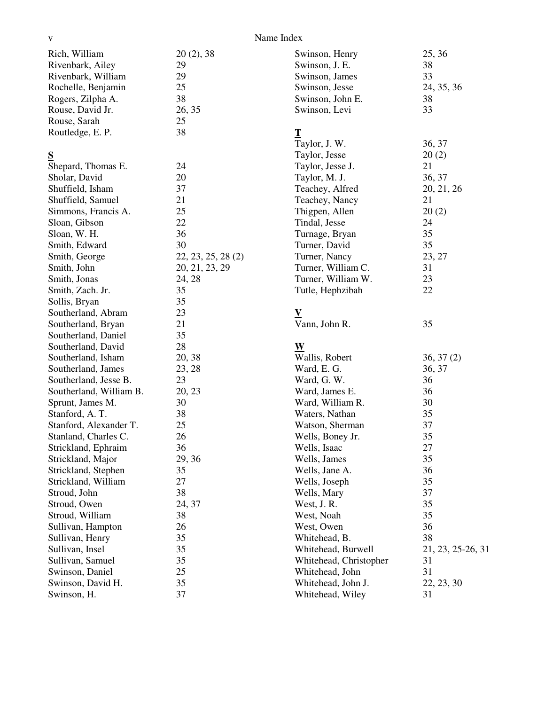| V                                              |                    | Name Index                          |                   |
|------------------------------------------------|--------------------|-------------------------------------|-------------------|
| Rich, William                                  | 20(2), 38          | Swinson, Henry                      | 25, 36            |
| Rivenbark, Ailey                               | 29                 | Swinson, J. E.                      | 38                |
| Rivenbark, William                             | 29                 | Swinson, James                      | 33                |
| Rochelle, Benjamin                             | 25                 | Swinson, Jesse                      | 24, 35, 36        |
| Rogers, Zilpha A.                              | 38                 | Swinson, John E.                    | 38                |
| Rouse, David Jr.                               | 26, 35             | Swinson, Levi                       | 33                |
| Rouse, Sarah                                   | 25                 |                                     |                   |
| Routledge, E. P.                               | 38                 | $\mathbf T$                         |                   |
|                                                |                    | Taylor, J. W.                       | 36, 37            |
| S                                              |                    | Taylor, Jesse                       | 20(2)             |
| Shepard, Thomas E.                             | 24                 | Taylor, Jesse J.                    | 21                |
| Sholar, David                                  | 20                 | Taylor, M. J.                       | 36, 37            |
| Shuffield, Isham                               | 37                 | Teachey, Alfred                     | 20, 21, 26        |
| Shuffield, Samuel                              | 21                 | Teachey, Nancy                      | 21                |
| Simmons, Francis A.                            | 25                 | Thigpen, Allen                      | 20(2)             |
| Sloan, Gibson                                  | 22                 | Tindal, Jesse                       | 24                |
| Sloan, W. H.                                   | 36                 | Turnage, Bryan                      | 35                |
| Smith, Edward                                  | 30                 | Turner, David                       | 35                |
| Smith, George                                  | 22, 23, 25, 28 (2) | Turner, Nancy                       | 23, 27            |
| Smith, John                                    | 20, 21, 23, 29     | Turner, William C.                  | 31                |
| Smith, Jonas                                   | 24, 28             | Turner, William W.                  | 23                |
| Smith, Zach. Jr.                               | 35                 | Tutle, Hephzibah                    | 22                |
| Sollis, Bryan                                  | 35                 |                                     |                   |
| Southerland, Abram                             | 23                 | ${\bf V}$                           |                   |
| Southerland, Bryan                             | 21                 | Vann, John R.                       | 35                |
| Southerland, Daniel                            | 35                 |                                     |                   |
| Southerland, David                             | 28                 | W                                   |                   |
| Southerland, Isham                             | 20, 38             | Wallis, Robert                      | 36, 37(2)         |
| Southerland, James                             | 23, 28             | Ward, E. G.                         | 36, 37            |
| Southerland, Jesse B.                          | 23                 | Ward, G. W.                         | 36                |
| Southerland, William B.                        | 20, 23             | Ward, James E.                      | 36                |
|                                                | 30                 |                                     | 30                |
| Sprunt, James M.                               |                    | Ward, William R.                    |                   |
| Stanford, A. T.                                | 38                 | Waters, Nathan                      | 35                |
| Stanford, Alexander T.<br>Stanland, Charles C. | 25                 | Watson, Sherman<br>Wells, Boney Jr. | 37                |
|                                                | 26                 |                                     | 35                |
| Strickland, Ephraim                            | 36                 | Wells, Isaac                        | 27                |
| Strickland, Major                              | 29, 36             | Wells, James                        | 35                |
| Strickland, Stephen                            | 35                 | Wells, Jane A.                      | 36                |
| Strickland, William                            | 27                 | Wells, Joseph                       | 35                |
| Stroud, John                                   | 38                 | Wells, Mary                         | 37                |
| Stroud, Owen                                   | 24, 37             | West, J. R.                         | 35                |
| Stroud, William                                | 38                 | West, Noah                          | 35                |
| Sullivan, Hampton                              | 26                 | West, Owen                          | 36                |
| Sullivan, Henry                                | 35                 | Whitehead, B.                       | 38                |
| Sullivan, Insel                                | 35                 | Whitehead, Burwell                  | 21, 23, 25-26, 31 |
| Sullivan, Samuel                               | 35                 | Whitehead, Christopher              | 31                |
| Swinson, Daniel                                | 25                 | Whitehead, John                     | 31                |
| Swinson, David H.                              | 35                 | Whitehead, John J.                  | 22, 23, 30        |

Whitehead, Wiley 31

Swinson, David H. 35<br>Swinson, H. 37

Swinson, H.